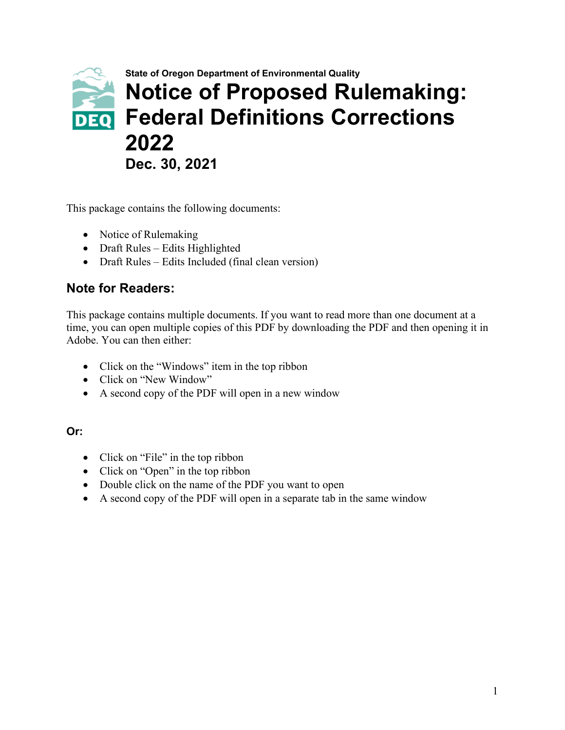

This package contains the following documents:

- Notice of Rulemaking
- Draft Rules Edits Highlighted
- Draft Rules Edits Included (final clean version)

#### **Note for Readers:**

This package contains multiple documents. If you want to read more than one document at a time, you can open multiple copies of this PDF by downloading the PDF and then opening it in Adobe. You can then either:

- Click on the "Windows" item in the top ribbon
- Click on "New Window"
- A second copy of the PDF will open in a new window

#### **Or:**

- Click on "File" in the top ribbon
- Click on "Open" in the top ribbon
- Double click on the name of the PDF you want to open
- A second copy of the PDF will open in a separate tab in the same window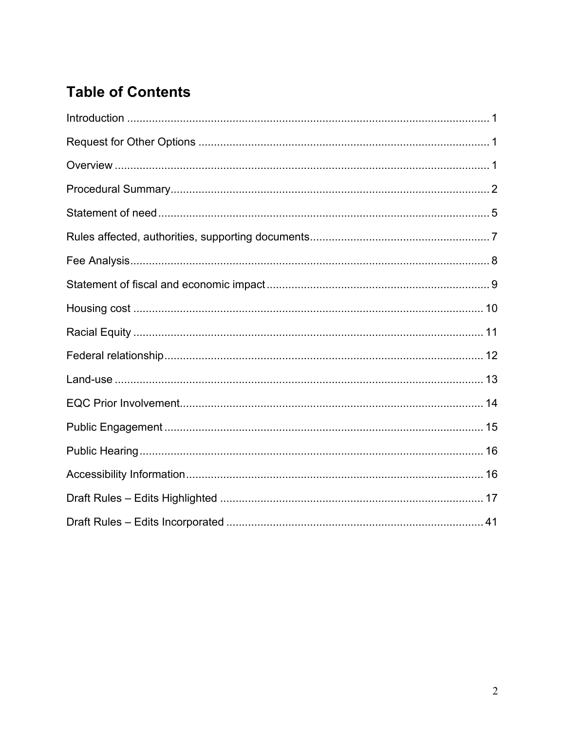## **Table of Contents**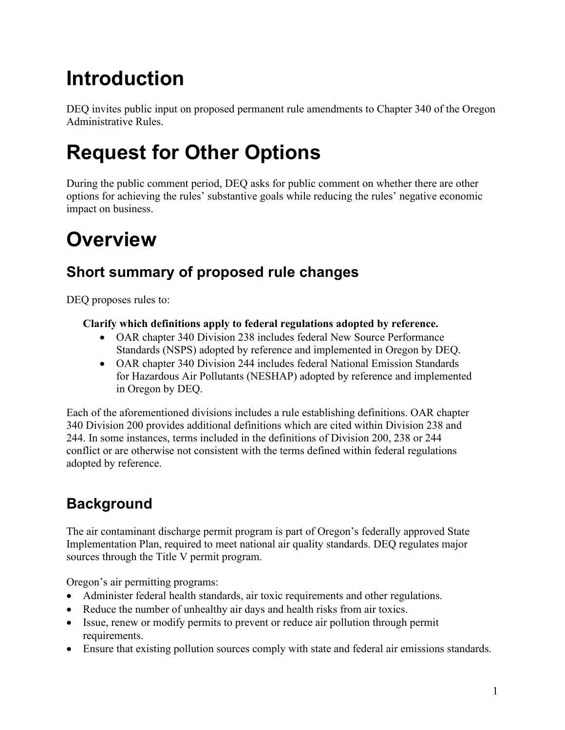# <span id="page-2-0"></span>**Introduction**

DEQ invites public input on proposed permanent rule amendments to Chapter 340 of the Oregon Administrative Rules.

# <span id="page-2-1"></span>**Request for Other Options**

During the public comment period, DEQ asks for public comment on whether there are other options for achieving the rules' substantive goals while reducing the rules' negative economic impact on business.

# <span id="page-2-2"></span>**Overview**

## **Short summary of proposed rule changes**

DEQ proposes rules to:

#### **Clarify which definitions apply to federal regulations adopted by reference.**

- OAR chapter 340 Division 238 includes federal New Source Performance Standards (NSPS) adopted by reference and implemented in Oregon by DEQ.
- OAR chapter 340 Division 244 includes federal National Emission Standards for Hazardous Air Pollutants (NESHAP) adopted by reference and implemented in Oregon by DEQ.

Each of the aforementioned divisions includes a rule establishing definitions. OAR chapter 340 Division 200 provides additional definitions which are cited within Division 238 and 244. In some instances, terms included in the definitions of Division 200, 238 or 244 conflict or are otherwise not consistent with the terms defined within federal regulations adopted by reference.

## **Background**

The air contaminant discharge permit program is part of Oregon's federally approved State Implementation Plan, required to meet national air quality standards. DEQ regulates major sources through the Title V permit program.

Oregon's air permitting programs:

- Administer federal health standards, air toxic requirements and other regulations.
- Reduce the number of unhealthy air days and health risks from air toxics.
- Issue, renew or modify permits to prevent or reduce air pollution through permit requirements.
- Ensure that existing pollution sources comply with state and federal air emissions standards.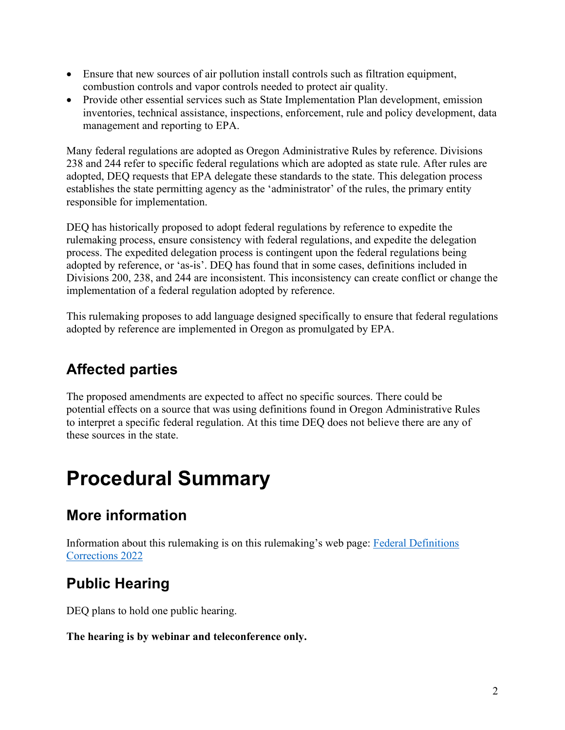- Ensure that new sources of air pollution install controls such as filtration equipment, combustion controls and vapor controls needed to protect air quality.
- Provide other essential services such as State Implementation Plan development, emission inventories, technical assistance, inspections, enforcement, rule and policy development, data management and reporting to EPA.

Many federal regulations are adopted as Oregon Administrative Rules by reference. Divisions 238 and 244 refer to specific federal regulations which are adopted as state rule. After rules are adopted, DEQ requests that EPA delegate these standards to the state. This delegation process establishes the state permitting agency as the 'administrator' of the rules, the primary entity responsible for implementation.

DEQ has historically proposed to adopt federal regulations by reference to expedite the rulemaking process, ensure consistency with federal regulations, and expedite the delegation process. The expedited delegation process is contingent upon the federal regulations being adopted by reference, or 'as-is'. DEQ has found that in some cases, definitions included in Divisions 200, 238, and 244 are inconsistent. This inconsistency can create conflict or change the implementation of a federal regulation adopted by reference.

This rulemaking proposes to add language designed specifically to ensure that federal regulations adopted by reference are implemented in Oregon as promulgated by EPA.

## **Affected parties**

The proposed amendments are expected to affect no specific sources. There could be potential effects on a source that was using definitions found in Oregon Administrative Rules to interpret a specific federal regulation. At this time DEQ does not believe there are any of these sources in the state.

## <span id="page-3-0"></span>**Procedural Summary**

## **More information**

Information about this rulemaking is on this rulemaking's web page: [Federal Definitions](https://www.oregon.gov/deq/rulemaking/Pages/AQdefinitions2022.aspx)  [Corrections 2022](https://www.oregon.gov/deq/rulemaking/Pages/AQdefinitions2022.aspx)

## **Public Hearing**

DEQ plans to hold one public hearing.

#### **The hearing is by webinar and teleconference only.**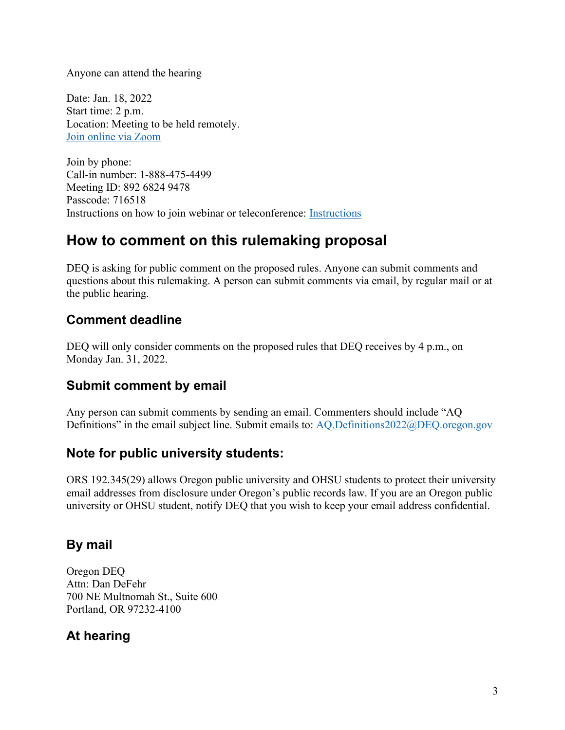Anyone can attend the hearing

Date: Jan. 18, 2022 Start time: 2 p.m. Location: Meeting to be held remotely. [Join online via Zoom](https://us02web.zoom.us/j/89268249478?pwd=SzhrT01OajcrdWRaK01JTEo2VVhrQT09)

Join by phone: Call-in number: 1-888-475-4499 Meeting ID: 892 6824 9478 Passcode: 716518 Instructions on how to join webinar or teleconference: [Instructions](https://www.oregon.gov/deq/Rulemaking%20Docs/participantlinklog.pdf)

## **How to comment on this rulemaking proposal**

DEQ is asking for public comment on the proposed rules. Anyone can submit comments and questions about this rulemaking. A person can submit comments via email, by regular mail or at the public hearing.

### **Comment deadline**

DEQ will only consider comments on the proposed rules that DEQ receives by 4 p.m., on Monday Jan. 31, 2022.

#### **Submit comment by email**

Any person can submit comments by sending an email. Commenters should include "AQ Definitions" in the email subject line. Submit emails to: [AQ.Definitions2022@DEQ.oregon.gov](mailto:AQ.Definitions2022@DEQ.oregon.gov)

#### **Note for public university students:**

ORS 192.345(29) allows Oregon public university and OHSU students to protect their university email addresses from disclosure under Oregon's public records law. If you are an Oregon public university or OHSU student, notify DEQ that you wish to keep your email address confidential.

### **By mail**

Oregon DEQ Attn: Dan DeFehr 700 NE Multnomah St., Suite 600 Portland, OR 97232-4100

## **At hearing**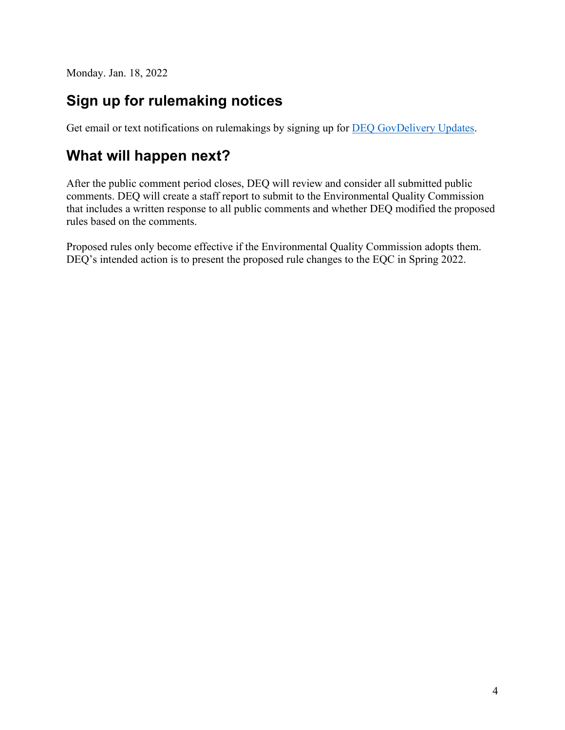Monday. Jan. 18, 2022

## **Sign up for rulemaking notices**

Get email or text notifications on rulemakings by signing up for **DEQ GovDelivery Updates**.

## **What will happen next?**

After the public comment period closes, DEQ will review and consider all submitted public comments. DEQ will create a staff report to submit to the Environmental Quality Commission that includes a written response to all public comments and whether DEQ modified the proposed rules based on the comments.

Proposed rules only become effective if the Environmental Quality Commission adopts them. DEQ's intended action is to present the proposed rule changes to the EQC in Spring 2022.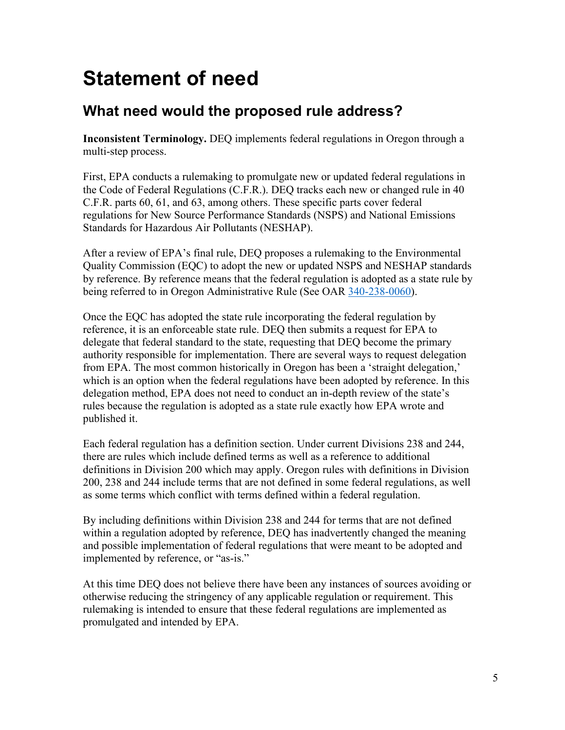## <span id="page-6-0"></span>**Statement of need**

## **What need would the proposed rule address?**

**Inconsistent Terminology.** DEQ implements federal regulations in Oregon through a multi-step process.

First, EPA conducts a rulemaking to promulgate new or updated federal regulations in the Code of Federal Regulations (C.F.R.). DEQ tracks each new or changed rule in 40 C.F.R. parts 60, 61, and 63, among others. These specific parts cover federal regulations for New Source Performance Standards (NSPS) and National Emissions Standards for Hazardous Air Pollutants (NESHAP).

After a review of EPA's final rule, DEQ proposes a rulemaking to the Environmental Quality Commission (EQC) to adopt the new or updated NSPS and NESHAP standards by reference. By reference means that the federal regulation is adopted as a state rule by being referred to in Oregon Administrative Rule (See OAR [340-238-0060\)](https://secure.sos.state.or.us/oard/viewSingleRule.action?ruleVrsnRsn=259520).

Once the EQC has adopted the state rule incorporating the federal regulation by reference, it is an enforceable state rule. DEQ then submits a request for EPA to delegate that federal standard to the state, requesting that DEQ become the primary authority responsible for implementation. There are several ways to request delegation from EPA. The most common historically in Oregon has been a 'straight delegation,' which is an option when the federal regulations have been adopted by reference. In this delegation method, EPA does not need to conduct an in-depth review of the state's rules because the regulation is adopted as a state rule exactly how EPA wrote and published it.

Each federal regulation has a definition section. Under current Divisions 238 and 244, there are rules which include defined terms as well as a reference to additional definitions in Division 200 which may apply. Oregon rules with definitions in Division 200, 238 and 244 include terms that are not defined in some federal regulations, as well as some terms which conflict with terms defined within a federal regulation.

By including definitions within Division 238 and 244 for terms that are not defined within a regulation adopted by reference, DEQ has inadvertently changed the meaning and possible implementation of federal regulations that were meant to be adopted and implemented by reference, or "as-is."

At this time DEQ does not believe there have been any instances of sources avoiding or otherwise reducing the stringency of any applicable regulation or requirement. This rulemaking is intended to ensure that these federal regulations are implemented as promulgated and intended by EPA.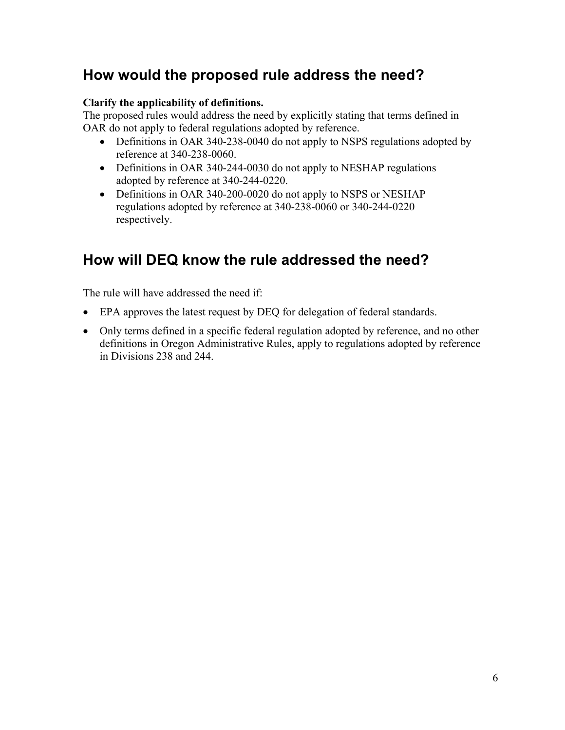## **How would the proposed rule address the need?**

#### **Clarify the applicability of definitions.**

The proposed rules would address the need by explicitly stating that terms defined in OAR do not apply to federal regulations adopted by reference.

- Definitions in OAR 340-238-0040 do not apply to NSPS regulations adopted by reference at 340-238-0060.
- Definitions in OAR 340-244-0030 do not apply to NESHAP regulations adopted by reference at 340-244-0220.
- Definitions in OAR 340-200-0020 do not apply to NSPS or NESHAP regulations adopted by reference at 340-238-0060 or 340-244-0220 respectively.

## **How will DEQ know the rule addressed the need?**

The rule will have addressed the need if:

- EPA approves the latest request by DEQ for delegation of federal standards.
- Only terms defined in a specific federal regulation adopted by reference, and no other definitions in Oregon Administrative Rules, apply to regulations adopted by reference in Divisions 238 and 244.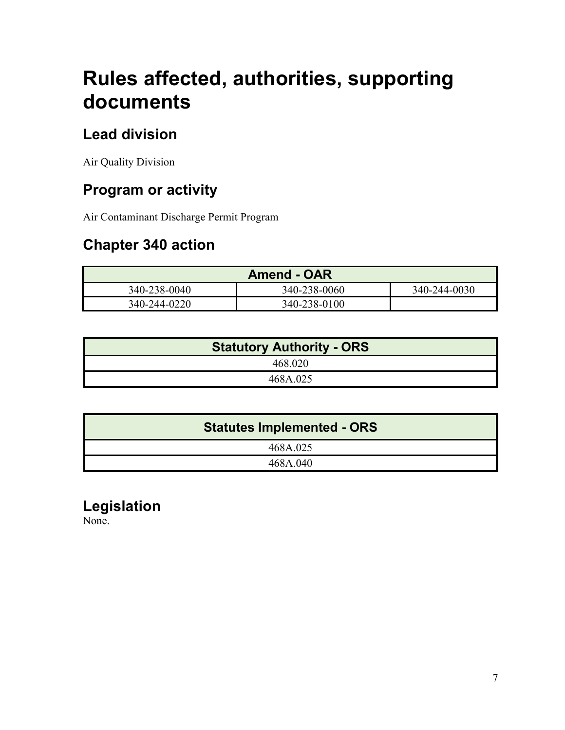## <span id="page-8-0"></span>**Rules affected, authorities, supporting documents**

## **Lead division**

Air Quality Division

## **Program or activity**

Air Contaminant Discharge Permit Program

## **Chapter 340 action**

|              | <b>Amend - OAR</b> |              |
|--------------|--------------------|--------------|
| 340-238-0040 | 340-238-0060       | 340-244-0030 |
| 340-244-0220 | 340-238-0100       |              |

| <b>Statutory Authority - ORS</b> |
|----------------------------------|
| 468.020                          |
| 468A.025                         |

| <b>Statutes Implemented - ORS</b> |
|-----------------------------------|
| 468A.025                          |
| 468A.040                          |

## **Legislation**

None.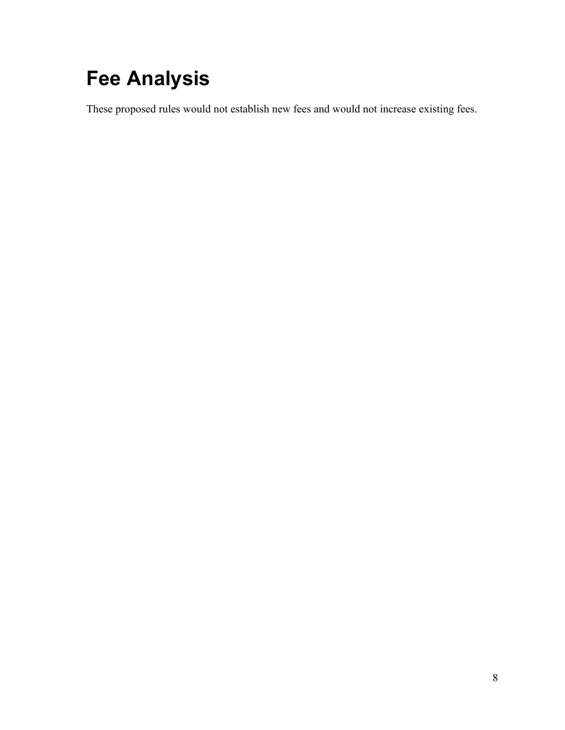# <span id="page-9-0"></span>**Fee Analysis**

These proposed rules would not establish new fees and would not increase existing fees.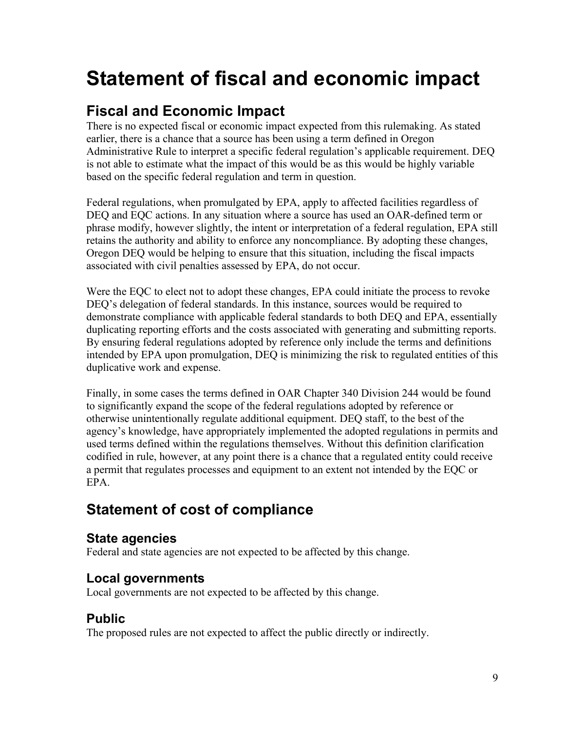## <span id="page-10-0"></span>**Statement of fiscal and economic impact**

## **Fiscal and Economic Impact**

There is no expected fiscal or economic impact expected from this rulemaking. As stated earlier, there is a chance that a source has been using a term defined in Oregon Administrative Rule to interpret a specific federal regulation's applicable requirement. DEQ is not able to estimate what the impact of this would be as this would be highly variable based on the specific federal regulation and term in question.

Federal regulations, when promulgated by EPA, apply to affected facilities regardless of DEQ and EQC actions. In any situation where a source has used an OAR-defined term or phrase modify, however slightly, the intent or interpretation of a federal regulation, EPA still retains the authority and ability to enforce any noncompliance. By adopting these changes, Oregon DEQ would be helping to ensure that this situation, including the fiscal impacts associated with civil penalties assessed by EPA, do not occur.

Were the EQC to elect not to adopt these changes, EPA could initiate the process to revoke DEQ's delegation of federal standards. In this instance, sources would be required to demonstrate compliance with applicable federal standards to both DEQ and EPA, essentially duplicating reporting efforts and the costs associated with generating and submitting reports. By ensuring federal regulations adopted by reference only include the terms and definitions intended by EPA upon promulgation, DEQ is minimizing the risk to regulated entities of this duplicative work and expense.

Finally, in some cases the terms defined in OAR Chapter 340 Division 244 would be found to significantly expand the scope of the federal regulations adopted by reference or otherwise unintentionally regulate additional equipment. DEQ staff, to the best of the agency's knowledge, have appropriately implemented the adopted regulations in permits and used terms defined within the regulations themselves. Without this definition clarification codified in rule, however, at any point there is a chance that a regulated entity could receive a permit that regulates processes and equipment to an extent not intended by the EQC or EPA.

## **Statement of cost of compliance**

### **State agencies**

Federal and state agencies are not expected to be affected by this change.

## **Local governments**

Local governments are not expected to be affected by this change.

## **Public**

The proposed rules are not expected to affect the public directly or indirectly.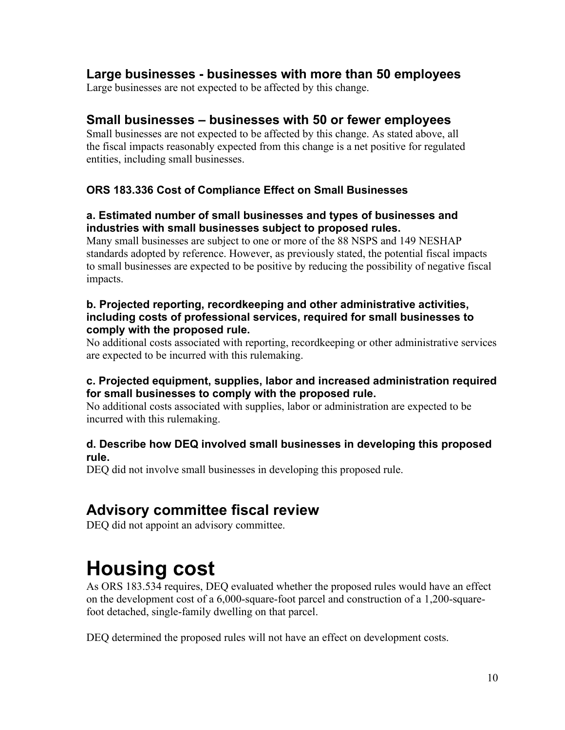#### **Large businesses - businesses with more than 50 employees**

Large businesses are not expected to be affected by this change.

#### **Small businesses – businesses with 50 or fewer employees**

Small businesses are not expected to be affected by this change. As stated above, all the fiscal impacts reasonably expected from this change is a net positive for regulated entities, including small businesses.

#### **ORS 183.336 Cost of Compliance Effect on Small Businesses**

#### **a. Estimated number of small businesses and types of businesses and industries with small businesses subject to proposed rules.**

Many small businesses are subject to one or more of the 88 NSPS and 149 NESHAP standards adopted by reference. However, as previously stated, the potential fiscal impacts to small businesses are expected to be positive by reducing the possibility of negative fiscal impacts.

#### **b. Projected reporting, recordkeeping and other administrative activities, including costs of professional services, required for small businesses to comply with the proposed rule.**

No additional costs associated with reporting, recordkeeping or other administrative services are expected to be incurred with this rulemaking.

#### **c. Projected equipment, supplies, labor and increased administration required for small businesses to comply with the proposed rule.**

No additional costs associated with supplies, labor or administration are expected to be incurred with this rulemaking.

#### **d. Describe how DEQ involved small businesses in developing this proposed rule.**

DEQ did not involve small businesses in developing this proposed rule.

## **Advisory committee fiscal review**

DEQ did not appoint an advisory committee.

## <span id="page-11-0"></span>**Housing cost**

As ORS 183.534 requires, DEQ evaluated whether the proposed rules would have an effect on the development cost of a 6,000-square-foot parcel and construction of a 1,200-squarefoot detached, single-family dwelling on that parcel.

DEQ determined the proposed rules will not have an effect on development costs.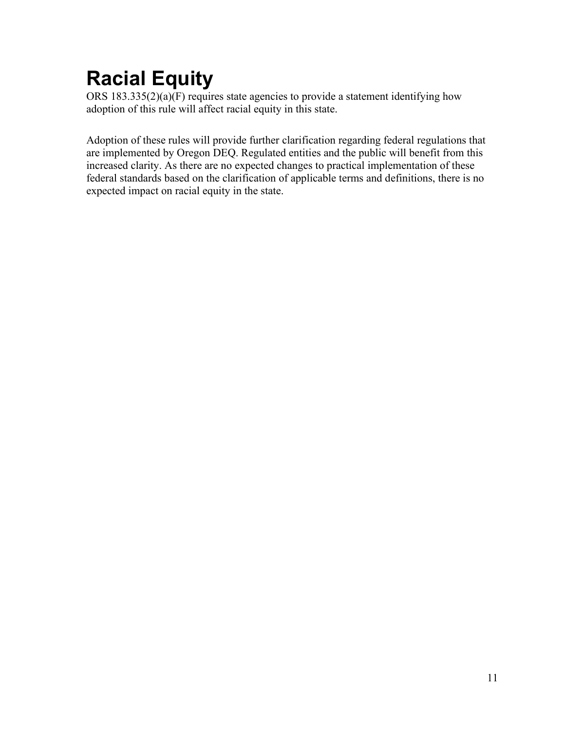# <span id="page-12-0"></span>**Racial Equity**

ORS 183.335(2)(a)(F) requires state agencies to provide a statement identifying how adoption of this rule will affect racial equity in this state.

Adoption of these rules will provide further clarification regarding federal regulations that are implemented by Oregon DEQ. Regulated entities and the public will benefit from this increased clarity. As there are no expected changes to practical implementation of these federal standards based on the clarification of applicable terms and definitions, there is no expected impact on racial equity in the state.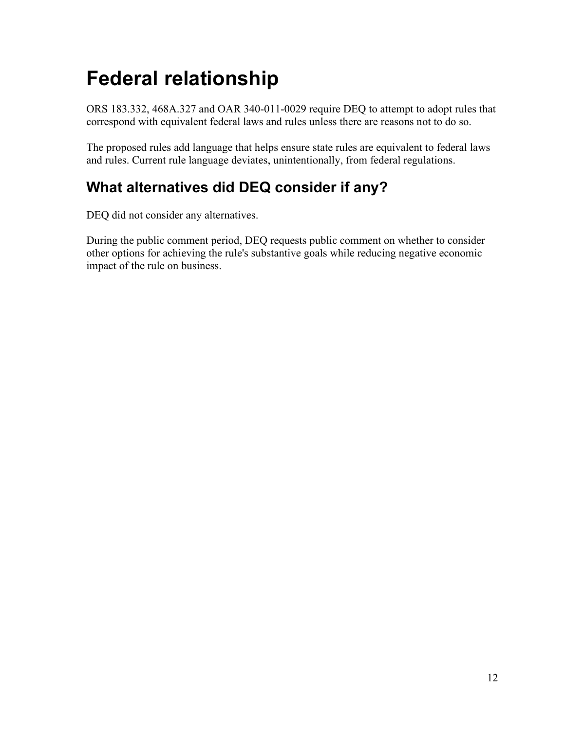# <span id="page-13-0"></span>**Federal relationship**

ORS 183.332, 468A.327 and OAR 340-011-0029 require DEQ to attempt to adopt rules that correspond with equivalent federal laws and rules unless there are reasons not to do so.

The proposed rules add language that helps ensure state rules are equivalent to federal laws and rules. Current rule language deviates, unintentionally, from federal regulations.

## **What alternatives did DEQ consider if any?**

DEQ did not consider any alternatives.

During the public comment period, DEQ requests public comment on whether to consider other options for achieving the rule's substantive goals while reducing negative economic impact of the rule on business.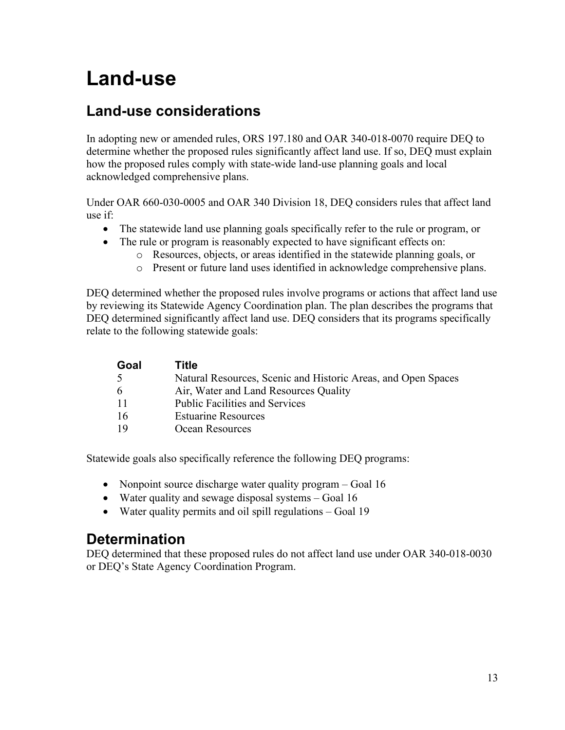## <span id="page-14-0"></span>**Land-use**

## **Land-use considerations**

In adopting new or amended rules, ORS 197.180 and OAR 340-018-0070 require DEQ to determine whether the proposed rules significantly affect land use. If so, DEQ must explain how the proposed rules comply with state-wide land-use planning goals and local acknowledged comprehensive plans.

Under OAR 660-030-0005 and OAR 340 Division 18, DEQ considers rules that affect land use if:

- The statewide land use planning goals specifically refer to the rule or program, or
	- The rule or program is reasonably expected to have significant effects on:
		- o Resources, objects, or areas identified in the statewide planning goals, or
		- o Present or future land uses identified in acknowledge comprehensive plans.

DEQ determined whether the proposed rules involve programs or actions that affect land use by reviewing its Statewide Agency Coordination plan. The plan describes the programs that DEQ determined significantly affect land use. DEQ considers that its programs specifically relate to the following statewide goals:

| Goal | Title                                                         |
|------|---------------------------------------------------------------|
| -5   | Natural Resources, Scenic and Historic Areas, and Open Spaces |
| 6    | Air, Water and Land Resources Quality                         |
| -11  | <b>Public Facilities and Services</b>                         |
| -16  | <b>Estuarine Resources</b>                                    |
| 19   | Ocean Resources                                               |

Statewide goals also specifically reference the following DEQ programs:

- Nonpoint source discharge water quality program Goal 16
- Water quality and sewage disposal systems Goal 16
- Water quality permits and oil spill regulations Goal 19

## **Determination**

DEQ determined that these proposed rules do not affect land use under OAR 340-018-0030 or DEQ's State Agency Coordination Program.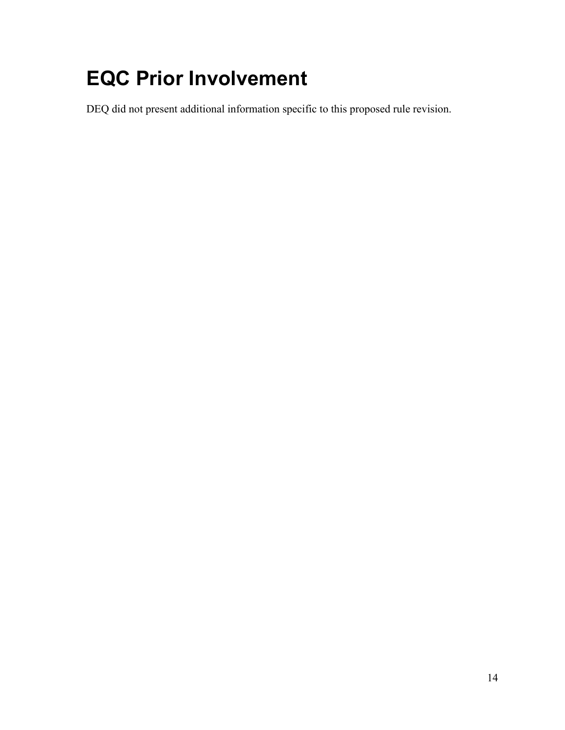# <span id="page-15-0"></span>**EQC Prior Involvement**

DEQ did not present additional information specific to this proposed rule revision.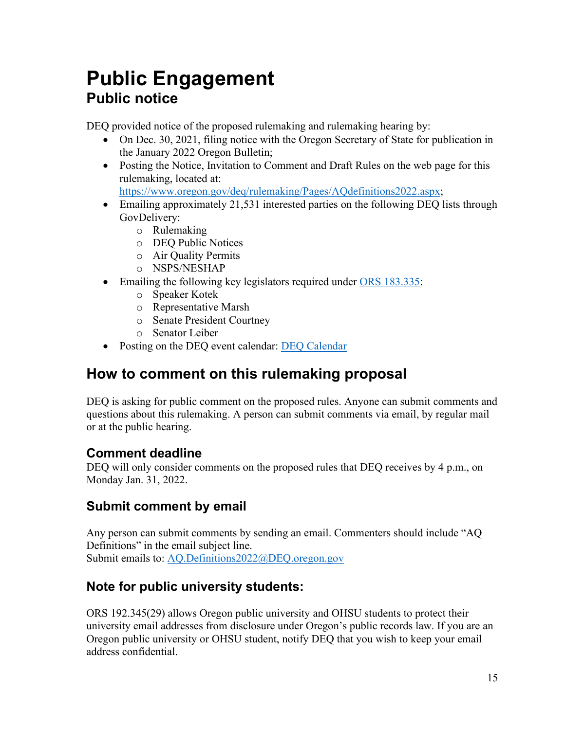## <span id="page-16-0"></span>**Public Engagement Public notice**

DEQ provided notice of the proposed rulemaking and rulemaking hearing by:

- On Dec. 30, 2021, filing notice with the Oregon Secretary of State for publication in the January 2022 Oregon Bulletin;
- Posting the Notice, Invitation to Comment and Draft Rules on the web page for this rulemaking, located at:

[https://www.oregon.gov/deq/rulemaking/Pages/AQdefinitions2022.aspx;](https://www.oregon.gov/deq/rulemaking/Pages/AQdefinitions2022.aspx)

- Emailing approximately 21,531 interested parties on the following DEQ lists through GovDelivery:
	- o Rulemaking
	- o DEQ Public Notices
	- o Air Quality Permits
	- o NSPS/NESHAP
- Emailing the following key legislators required under [ORS 183.335:](http://www.leg.state.or.us/ors/183.html)
	- o Speaker Kotek
	- o Representative Marsh
	- o Senate President Courtney
	- o Senator Leiber
- Posting on the DEQ event calendar: [DEQ Calendar](http://www.oregon.gov/deq/Get-Involved/Pages/Calendar.aspx)

## **How to comment on this rulemaking proposal**

DEQ is asking for public comment on the proposed rules. Anyone can submit comments and questions about this rulemaking. A person can submit comments via email, by regular mail or at the public hearing.

### **Comment deadline**

DEQ will only consider comments on the proposed rules that DEQ receives by 4 p.m., on Monday Jan. 31, 2022.

## **Submit comment by email**

Any person can submit comments by sending an email. Commenters should include "AQ Definitions" in the email subject line. Submit emails to: [AQ.Definitions2022@DEQ.oregon.gov](mailto:AQ.Definitions2022@DEQ.oregon.gov)

## **Note for public university students:**

ORS 192.345(29) allows Oregon public university and OHSU students to protect their university email addresses from disclosure under Oregon's public records law. If you are an Oregon public university or OHSU student, notify DEQ that you wish to keep your email address confidential.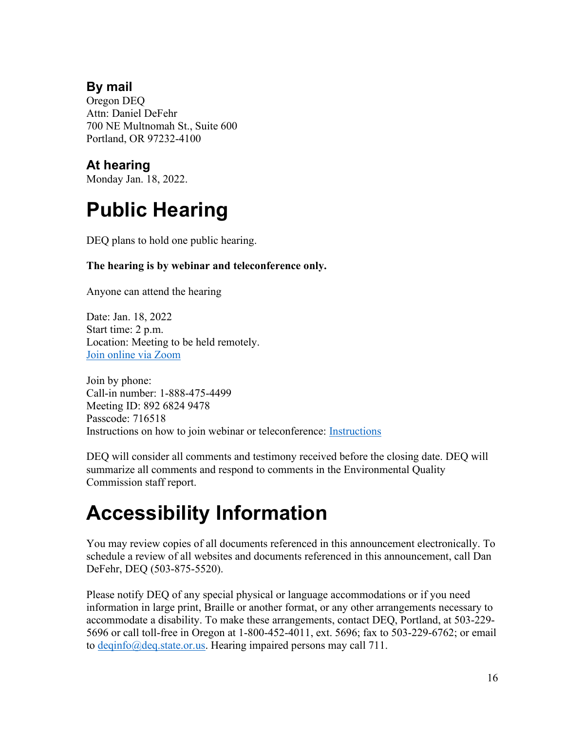### **By mail**

Oregon DEQ Attn: Daniel DeFehr 700 NE Multnomah St., Suite 600 Portland, OR 97232-4100

## **At hearing**

Monday Jan. 18, 2022.

# <span id="page-17-0"></span>**Public Hearing**

DEQ plans to hold one public hearing.

#### **The hearing is by webinar and teleconference only.**

Anyone can attend the hearing

Date: Jan. 18, 2022 Start time: 2 p.m. Location: Meeting to be held remotely. [Join online via Zoom](https://us02web.zoom.us/j/89268249478?pwd=SzhrT01OajcrdWRaK01JTEo2VVhrQT09)

Join by phone: Call-in number: 1-888-475-4499 Meeting ID: 892 6824 9478 Passcode: 716518 Instructions on how to join webinar or teleconference: [Instructions](https://www.oregon.gov/deq/Rulemaking%20Docs/participantlinklog.pdf)

DEQ will consider all comments and testimony received before the closing date. DEQ will summarize all comments and respond to comments in the Environmental Quality Commission staff report.

# <span id="page-17-1"></span>**Accessibility Information**

You may review copies of all documents referenced in this announcement electronically. To schedule a review of all websites and documents referenced in this announcement, call Dan DeFehr, DEQ (503-875-5520).

Please notify DEQ of any special physical or language accommodations or if you need information in large print, Braille or another format, or any other arrangements necessary to accommodate a disability. To make these arrangements, contact DEQ, Portland, at 503-229- 5696 or call toll-free in Oregon at 1-800-452-4011, ext. 5696; fax to 503-229-6762; or email to [deqinfo@deq.state.or.us.](mailto:deqinfo@deq.state.or.us) Hearing impaired persons may call 711.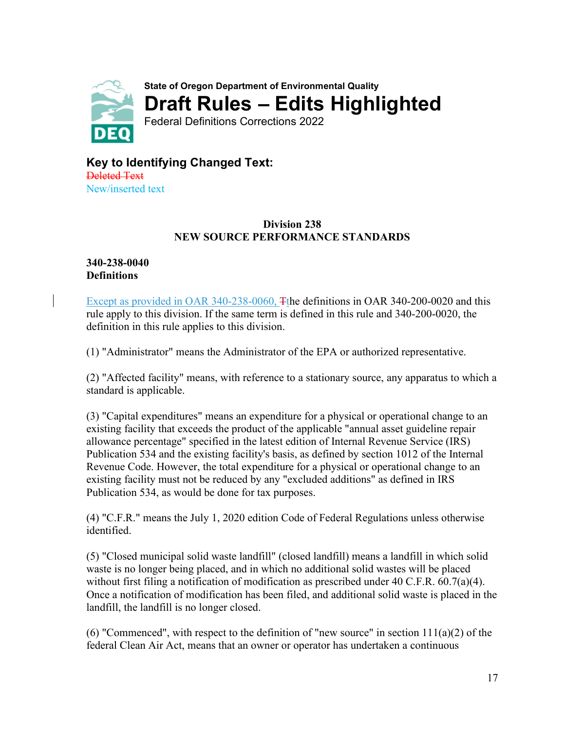<span id="page-18-0"></span>

**Key to Identifying Changed Text:** Deleted Text

New/inserted text

#### **Division 238 NEW SOURCE PERFORMANCE STANDARDS**

#### **340-238-0040 Definitions**

Except as provided in OAR 340-238-0060, The definitions in OAR 340-200-0020 and this rule apply to this division. If the same term is defined in this rule and 340-200-0020, the definition in this rule applies to this division.

(1) "Administrator" means the Administrator of the EPA or authorized representative.

(2) "Affected facility" means, with reference to a stationary source, any apparatus to which a standard is applicable.

(3) "Capital expenditures" means an expenditure for a physical or operational change to an existing facility that exceeds the product of the applicable "annual asset guideline repair allowance percentage" specified in the latest edition of Internal Revenue Service (IRS) Publication 534 and the existing facility's basis, as defined by section 1012 of the Internal Revenue Code. However, the total expenditure for a physical or operational change to an existing facility must not be reduced by any "excluded additions" as defined in IRS Publication 534, as would be done for tax purposes.

(4) "C.F.R." means the July 1, 2020 edition Code of Federal Regulations unless otherwise identified.

(5) "Closed municipal solid waste landfill" (closed landfill) means a landfill in which solid waste is no longer being placed, and in which no additional solid wastes will be placed without first filing a notification of modification as prescribed under 40 C.F.R. 60.7(a)(4). Once a notification of modification has been filed, and additional solid waste is placed in the landfill, the landfill is no longer closed.

(6) "Commenced", with respect to the definition of "new source" in section  $111(a)(2)$  of the federal Clean Air Act, means that an owner or operator has undertaken a continuous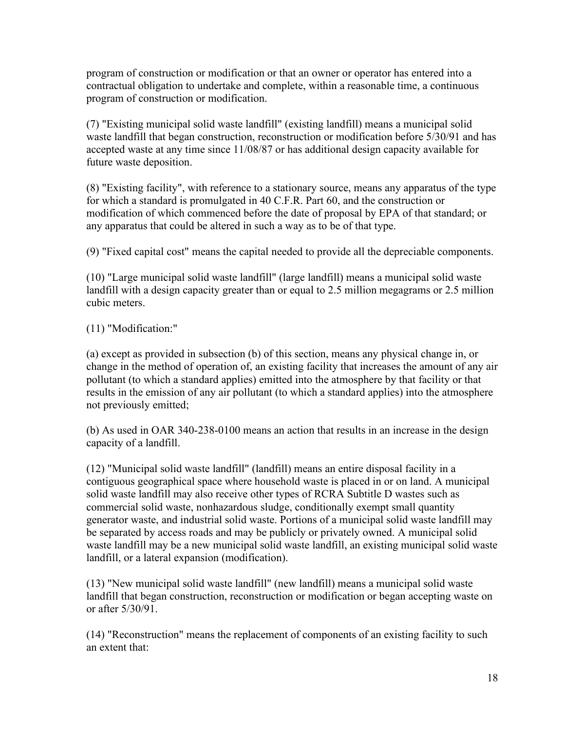program of construction or modification or that an owner or operator has entered into a contractual obligation to undertake and complete, within a reasonable time, a continuous program of construction or modification.

(7) "Existing municipal solid waste landfill" (existing landfill) means a municipal solid waste landfill that began construction, reconstruction or modification before 5/30/91 and has accepted waste at any time since 11/08/87 or has additional design capacity available for future waste deposition.

(8) "Existing facility", with reference to a stationary source, means any apparatus of the type for which a standard is promulgated in 40 C.F.R. Part 60, and the construction or modification of which commenced before the date of proposal by EPA of that standard; or any apparatus that could be altered in such a way as to be of that type.

(9) "Fixed capital cost" means the capital needed to provide all the depreciable components.

(10) "Large municipal solid waste landfill" (large landfill) means a municipal solid waste landfill with a design capacity greater than or equal to 2.5 million megagrams or 2.5 million cubic meters.

(11) "Modification:"

(a) except as provided in subsection (b) of this section, means any physical change in, or change in the method of operation of, an existing facility that increases the amount of any air pollutant (to which a standard applies) emitted into the atmosphere by that facility or that results in the emission of any air pollutant (to which a standard applies) into the atmosphere not previously emitted;

(b) As used in OAR 340-238-0100 means an action that results in an increase in the design capacity of a landfill.

(12) "Municipal solid waste landfill" (landfill) means an entire disposal facility in a contiguous geographical space where household waste is placed in or on land. A municipal solid waste landfill may also receive other types of RCRA Subtitle D wastes such as commercial solid waste, nonhazardous sludge, conditionally exempt small quantity generator waste, and industrial solid waste. Portions of a municipal solid waste landfill may be separated by access roads and may be publicly or privately owned. A municipal solid waste landfill may be a new municipal solid waste landfill, an existing municipal solid waste landfill, or a lateral expansion (modification).

(13) "New municipal solid waste landfill" (new landfill) means a municipal solid waste landfill that began construction, reconstruction or modification or began accepting waste on or after 5/30/91.

(14) "Reconstruction" means the replacement of components of an existing facility to such an extent that: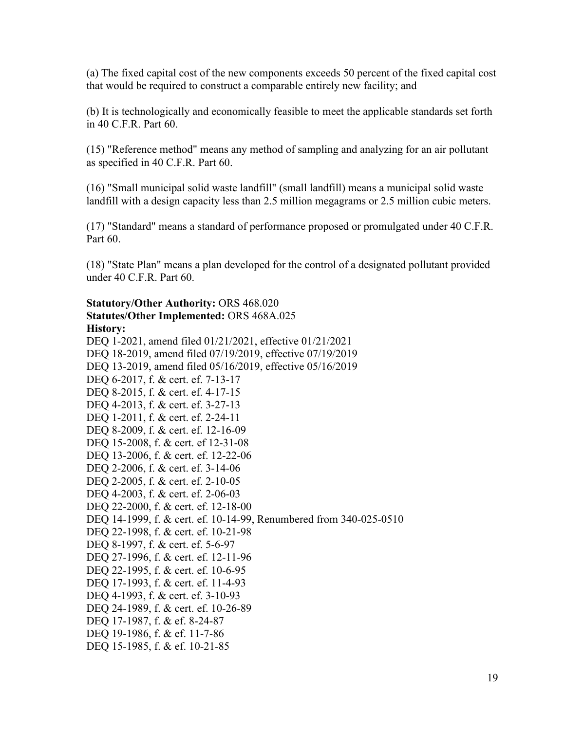(a) The fixed capital cost of the new components exceeds 50 percent of the fixed capital cost that would be required to construct a comparable entirely new facility; and

(b) It is technologically and economically feasible to meet the applicable standards set forth in 40 C.F.R. Part 60.

(15) "Reference method" means any method of sampling and analyzing for an air pollutant as specified in 40 C.F.R. Part 60.

(16) "Small municipal solid waste landfill" (small landfill) means a municipal solid waste landfill with a design capacity less than 2.5 million megagrams or 2.5 million cubic meters.

(17) "Standard" means a standard of performance proposed or promulgated under 40 C.F.R. Part 60.

(18) "State Plan" means a plan developed for the control of a designated pollutant provided under 40 C.F.R. Part 60.

#### **Statutory/Other Authority:** ORS 468.020 **Statutes/Other Implemented:** ORS 468A.025 **History:**

[DEQ 1-2021, amend filed 01/21/2021, effective 01/21/2021](https://secure.sos.state.or.us/oard/viewReceiptTRIM.action?ptId=8022221) [DEQ 18-2019, amend filed 07/19/2019, effective 07/19/2019](https://secure.sos.state.or.us/oard/viewReceiptTRIM.action?ptId=6847093) [DEQ 13-2019, amend filed 05/16/2019, effective 05/16/2019](https://secure.sos.state.or.us/oard/viewReceiptTRIM.action?ptId=6846659) DEQ 6-2017, f. & cert. ef. 7-13-17 DEQ 8-2015, f. & cert. ef. 4-17-15 DEQ 4-2013, f. & cert. ef. 3-27-13 DEO 1-2011, f. & cert. ef. 2-24-11 DEQ 8-2009, f. & cert. ef. 12-16-09 DEQ 15-2008, f. & cert. ef 12-31-08 DEQ 13-2006, f. & cert. ef. 12-22-06 DEQ 2-2006, f. & cert. ef. 3-14-06 DEQ 2-2005, f. & cert. ef. 2-10-05 DEQ 4-2003, f. & cert. ef. 2-06-03 DEQ 22-2000, f. & cert. ef. 12-18-00 DEQ 14-1999, f. & cert. ef. 10-14-99, Renumbered from 340-025-0510 DEQ 22-1998, f. & cert. ef. 10-21-98 DEQ 8-1997, f. & cert. ef. 5-6-97 DEQ 27-1996, f. & cert. ef. 12-11-96 DEQ 22-1995, f. & cert. ef. 10-6-95 DEQ 17-1993, f. & cert. ef. 11-4-93 DEQ 4-1993, f. & cert. ef. 3-10-93 DEQ 24-1989, f. & cert. ef. 10-26-89 DEQ 17-1987, f. & ef. 8-24-87 DEQ 19-1986, f. & ef. 11-7-86 DEQ 15-1985, f. & ef. 10-21-85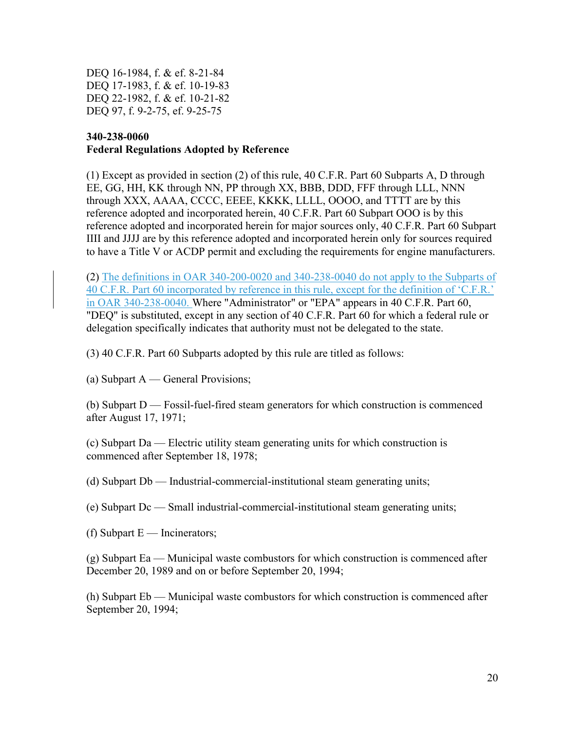DEQ 16-1984, f. & ef. 8-21-84 DEQ 17-1983, f. & ef. 10-19-83 DEQ 22-1982, f. & ef. 10-21-82 DEQ 97, f. 9-2-75, ef. 9-25-75

#### **340-238-0060 Federal Regulations Adopted by Reference**

(1) Except as provided in section (2) of this rule, 40 C.F.R. Part 60 Subparts A, D through EE, GG, HH, KK through NN, PP through XX, BBB, DDD, FFF through LLL, NNN through XXX, AAAA, CCCC, EEEE, KKKK, LLLL, OOOO, and TTTT are by this reference adopted and incorporated herein, 40 C.F.R. Part 60 Subpart OOO is by this reference adopted and incorporated herein for major sources only, 40 C.F.R. Part 60 Subpart IIII and JJJJ are by this reference adopted and incorporated herein only for sources required to have a Title V or ACDP permit and excluding the requirements for engine manufacturers.

(2) The definitions in OAR 340-200-0020 and 340-238-0040 do not apply to the Subparts of 40 C.F.R. Part 60 incorporated by reference in this rule, except for the definition of 'C.F.R.' in OAR 340-238-0040. Where "Administrator" or "EPA" appears in 40 C.F.R. Part 60, "DEQ" is substituted, except in any section of 40 C.F.R. Part 60 for which a federal rule or delegation specifically indicates that authority must not be delegated to the state.

(3) 40 C.F.R. Part 60 Subparts adopted by this rule are titled as follows:

(a) Subpart A — General Provisions;

(b) Subpart D — Fossil-fuel-fired steam generators for which construction is commenced after August 17, 1971;

(c) Subpart Da — Electric utility steam generating units for which construction is commenced after September 18, 1978;

(d) Subpart Db — Industrial-commercial-institutional steam generating units;

(e) Subpart Dc — Small industrial-commercial-institutional steam generating units;

(f) Subpart  $E$  — Incinerators;

(g) Subpart Ea — Municipal waste combustors for which construction is commenced after December 20, 1989 and on or before September 20, 1994;

(h) Subpart Eb — Municipal waste combustors for which construction is commenced after September 20, 1994;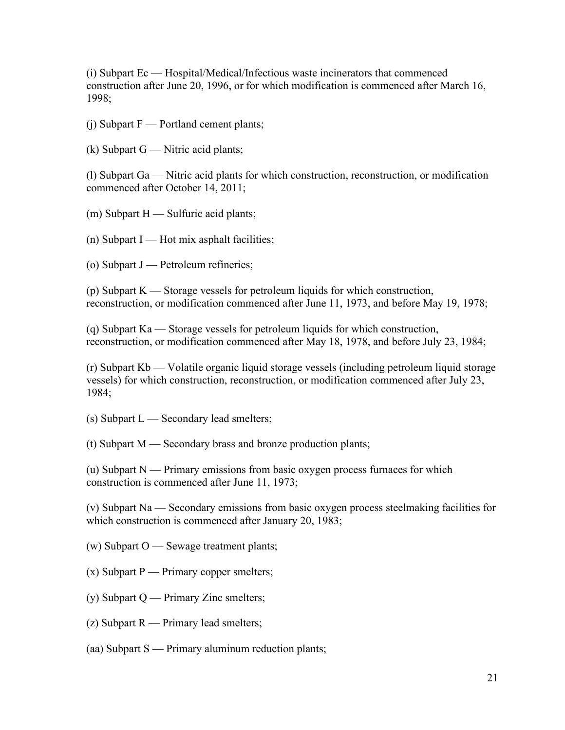(i) Subpart Ec — Hospital/Medical/Infectious waste incinerators that commenced construction after June 20, 1996, or for which modification is commenced after March 16, 1998;

 $(i)$  Subpart  $F \longrightarrow$  Portland cement plants;

 $(k)$  Subpart G — Nitric acid plants;

(l) Subpart Ga — Nitric acid plants for which construction, reconstruction, or modification commenced after October 14, 2011;

 $(m)$  Subpart  $H \longrightarrow$  Sulfuric acid plants;

 $(n)$  Subpart I — Hot mix asphalt facilities;

(o) Subpart J — Petroleum refineries;

(p) Subpart K — Storage vessels for petroleum liquids for which construction, reconstruction, or modification commenced after June 11, 1973, and before May 19, 1978;

(q) Subpart Ka — Storage vessels for petroleum liquids for which construction, reconstruction, or modification commenced after May 18, 1978, and before July 23, 1984;

(r) Subpart Kb — Volatile organic liquid storage vessels (including petroleum liquid storage vessels) for which construction, reconstruction, or modification commenced after July 23, 1984;

 $(s)$  Subpart  $L$  — Secondary lead smelters;

(t) Subpart M — Secondary brass and bronze production plants;

(u) Subpart N — Primary emissions from basic oxygen process furnaces for which construction is commenced after June 11, 1973;

(v) Subpart Na — Secondary emissions from basic oxygen process steelmaking facilities for which construction is commenced after January 20, 1983;

(w) Subpart O — Sewage treatment plants;

 $(x)$  Subpart P — Primary copper smelters;

(y) Subpart Q — Primary Zinc smelters;

(z) Subpart R — Primary lead smelters;

(aa) Subpart S — Primary aluminum reduction plants;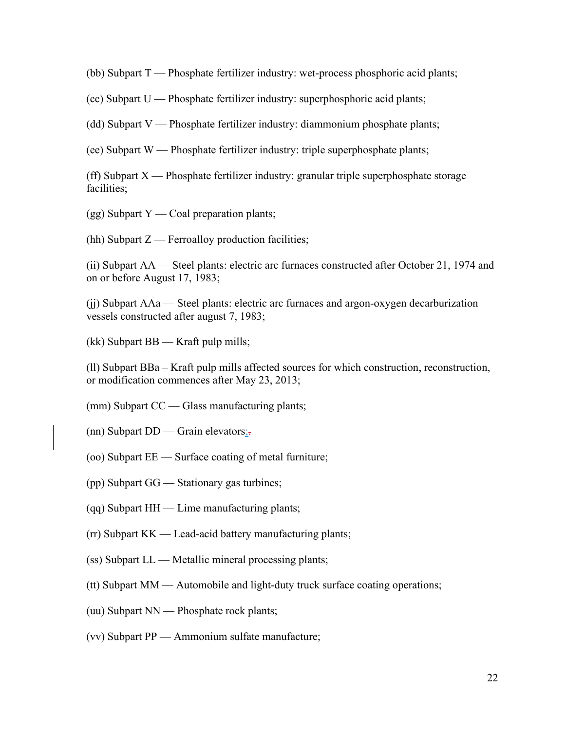(bb) Subpart T — Phosphate fertilizer industry: wet-process phosphoric acid plants;

(cc) Subpart U — Phosphate fertilizer industry: superphosphoric acid plants;

(dd) Subpart V — Phosphate fertilizer industry: diammonium phosphate plants;

(ee) Subpart W — Phosphate fertilizer industry: triple superphosphate plants;

(ff) Subpart  $X$  — Phosphate fertilizer industry: granular triple superphosphate storage facilities;

 $(gg)$  Subpart Y — Coal preparation plants;

(hh) Subpart  $Z$  — Ferroalloy production facilities;

(ii) Subpart AA — Steel plants: electric arc furnaces constructed after October 21, 1974 and on or before August 17, 1983;

(jj) Subpart AAa — Steel plants: electric arc furnaces and argon-oxygen decarburization vessels constructed after august 7, 1983;

(kk) Subpart BB — Kraft pulp mills;

(ll) Subpart BBa – Kraft pulp mills affected sources for which construction, reconstruction, or modification commences after May 23, 2013;

(mm) Subpart CC — Glass manufacturing plants;

(nn) Subpart  $DD$  — Grain elevators;

- (oo) Subpart EE Surface coating of metal furniture;
- (pp) Subpart GG Stationary gas turbines;
- (qq) Subpart HH Lime manufacturing plants;
- (rr) Subpart KK Lead-acid battery manufacturing plants;
- (ss) Subpart LL Metallic mineral processing plants;
- (tt) Subpart MM Automobile and light-duty truck surface coating operations;
- (uu) Subpart NN Phosphate rock plants;
- (vv) Subpart PP Ammonium sulfate manufacture;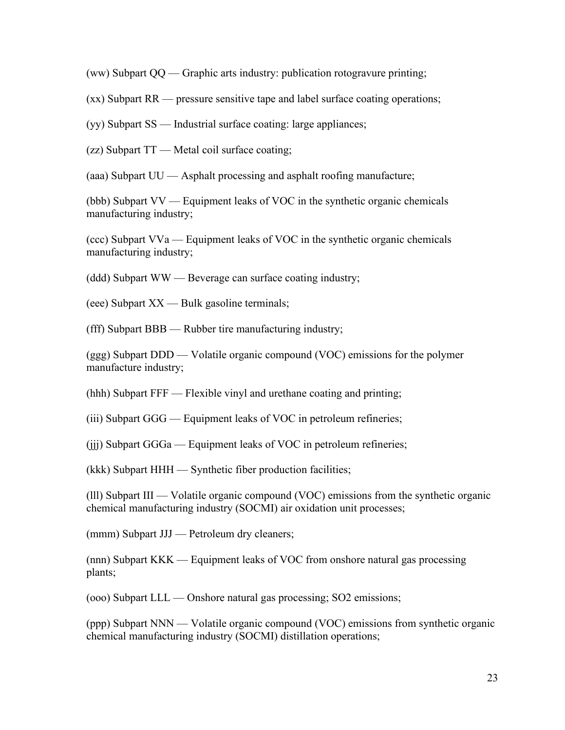(ww) Subpart QQ — Graphic arts industry: publication rotogravure printing;

(xx) Subpart RR — pressure sensitive tape and label surface coating operations;

(yy) Subpart SS — Industrial surface coating: large appliances;

(zz) Subpart TT — Metal coil surface coating;

(aaa) Subpart UU — Asphalt processing and asphalt roofing manufacture;

(bbb) Subpart VV — Equipment leaks of VOC in the synthetic organic chemicals manufacturing industry;

(ccc) Subpart VVa — Equipment leaks of VOC in the synthetic organic chemicals manufacturing industry;

(ddd) Subpart WW — Beverage can surface coating industry;

(eee) Subpart XX — Bulk gasoline terminals;

(fff) Subpart BBB — Rubber tire manufacturing industry;

(ggg) Subpart DDD — Volatile organic compound (VOC) emissions for the polymer manufacture industry;

(hhh) Subpart FFF — Flexible vinyl and urethane coating and printing;

(iii) Subpart GGG — Equipment leaks of VOC in petroleum refineries;

(jjj) Subpart GGGa — Equipment leaks of VOC in petroleum refineries;

(kkk) Subpart HHH — Synthetic fiber production facilities;

(lll) Subpart III — Volatile organic compound (VOC) emissions from the synthetic organic chemical manufacturing industry (SOCMI) air oxidation unit processes;

(mmm) Subpart JJJ — Petroleum dry cleaners;

(nnn) Subpart KKK — Equipment leaks of VOC from onshore natural gas processing plants;

(ooo) Subpart LLL — Onshore natural gas processing; SO2 emissions;

(ppp) Subpart NNN — Volatile organic compound (VOC) emissions from synthetic organic chemical manufacturing industry (SOCMI) distillation operations;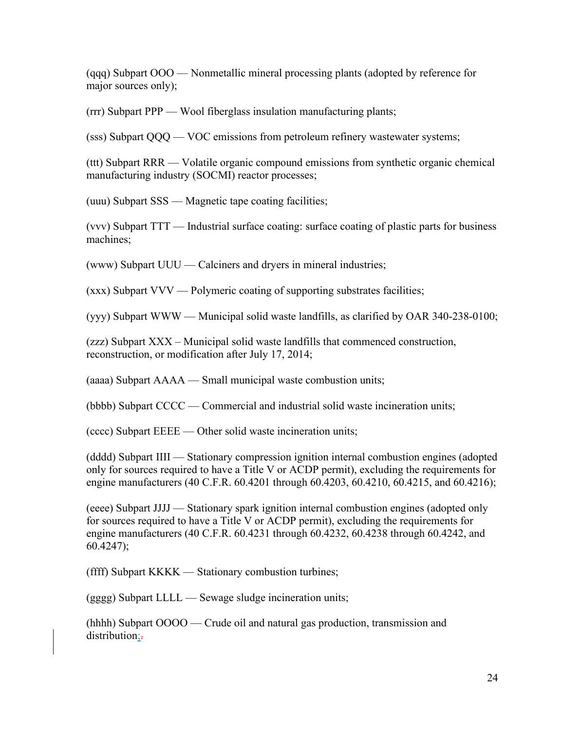(qqq) Subpart OOO — Nonmetallic mineral processing plants (adopted by reference for major sources only);

(rrr) Subpart PPP — Wool fiberglass insulation manufacturing plants;

(sss) Subpart QQQ — VOC emissions from petroleum refinery wastewater systems;

(ttt) Subpart RRR — Volatile organic compound emissions from synthetic organic chemical manufacturing industry (SOCMI) reactor processes;

(uuu) Subpart SSS — Magnetic tape coating facilities;

(vvv) Subpart TTT — Industrial surface coating: surface coating of plastic parts for business machines;

(www) Subpart UUU — Calciners and dryers in mineral industries;

(xxx) Subpart VVV — Polymeric coating of supporting substrates facilities;

(yyy) Subpart WWW — Municipal solid waste landfills, as clarified by OAR 340-238-0100;

(zzz) Subpart XXX – Municipal solid waste landfills that commenced construction, reconstruction, or modification after July 17, 2014;

(aaaa) Subpart AAAA — Small municipal waste combustion units;

(bbbb) Subpart CCCC — Commercial and industrial solid waste incineration units;

(cccc) Subpart EEEE — Other solid waste incineration units;

(dddd) Subpart IIII — Stationary compression ignition internal combustion engines (adopted only for sources required to have a Title V or ACDP permit), excluding the requirements for engine manufacturers (40 C.F.R. 60.4201 through 60.4203, 60.4210, 60.4215, and 60.4216);

(eeee) Subpart JJJJ — Stationary spark ignition internal combustion engines (adopted only for sources required to have a Title V or ACDP permit), excluding the requirements for engine manufacturers (40 C.F.R. 60.4231 through 60.4232, 60.4238 through 60.4242, and 60.4247);

(ffff) Subpart KKKK — Stationary combustion turbines;

(gggg) Subpart LLLL — Sewage sludge incineration units;

(hhhh) Subpart OOOO — Crude oil and natural gas production, transmission and distribution;-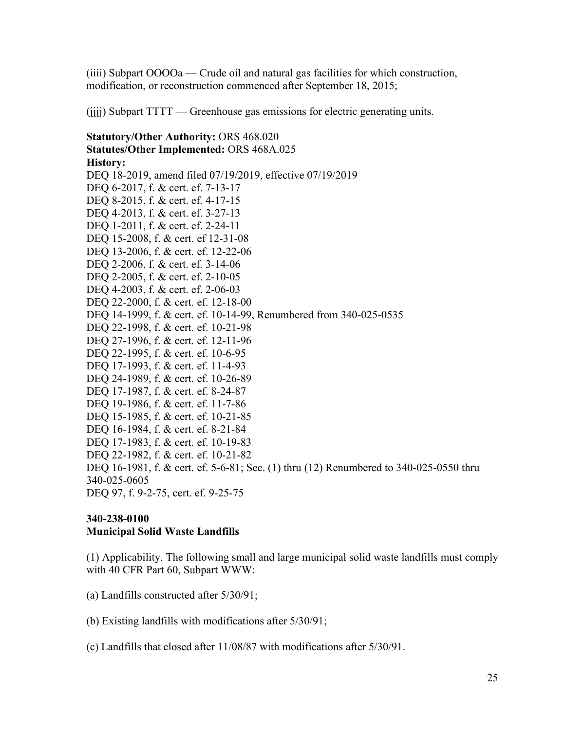(iiii) Subpart OOOOa — Crude oil and natural gas facilities for which construction, modification, or reconstruction commenced after September 18, 2015;

(jjjj) Subpart TTTT — Greenhouse gas emissions for electric generating units.

**Statutory/Other Authority:** ORS 468.020 **Statutes/Other Implemented:** ORS 468A.025 **History:** [DEQ 18-2019, amend filed 07/19/2019, effective 07/19/2019](https://secure.sos.state.or.us/oard/viewReceiptTRIM.action?ptId=6847093) DEQ 6-2017, f. & cert. ef. 7-13-17 DEQ 8-2015, f. & cert. ef. 4-17-15 DEQ 4-2013, f. & cert. ef. 3-27-13 DEQ 1-2011, f. & cert. ef. 2-24-11 DEQ 15-2008, f. & cert. ef 12-31-08 DEQ 13-2006, f. & cert. ef. 12-22-06 DEQ 2-2006, f. & cert. ef. 3-14-06 DEQ 2-2005, f. & cert. ef. 2-10-05 DEQ 4-2003, f. & cert. ef. 2-06-03 DEQ 22-2000, f. & cert. ef. 12-18-00 DEQ 14-1999, f. & cert. ef. 10-14-99, Renumbered from 340-025-0535 DEQ 22-1998, f. & cert. ef. 10-21-98 DEO 27-1996, f. & cert. ef. 12-11-96 DEQ 22-1995, f. & cert. ef. 10-6-95 DEQ 17-1993, f. & cert. ef. 11-4-93 DEQ 24-1989, f. & cert. ef. 10-26-89 DEQ 17-1987, f. & cert. ef. 8-24-87 DEQ 19-1986, f. & cert. ef. 11-7-86 DEQ 15-1985, f. & cert. ef. 10-21-85 DEQ 16-1984, f. & cert. ef. 8-21-84 DEQ 17-1983, f. & cert. ef. 10-19-83 DEQ 22-1982, f. & cert. ef. 10-21-82 DEQ 16-1981, f. & cert. ef. 5-6-81; Sec. (1) thru (12) Renumbered to 340-025-0550 thru 340-025-0605 DEQ 97, f. 9-2-75, cert. ef. 9-25-75

#### **340-238-0100 Municipal Solid Waste Landfills**

(1) Applicability. The following small and large municipal solid waste landfills must comply with 40 CFR Part 60, Subpart WWW:

(a) Landfills constructed after 5/30/91;

(b) Existing landfills with modifications after 5/30/91;

(c) Landfills that closed after 11/08/87 with modifications after 5/30/91.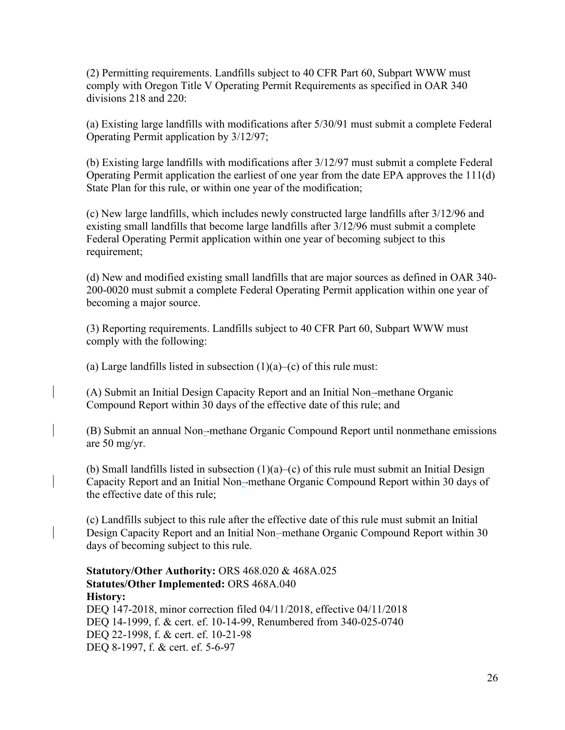(2) Permitting requirements. Landfills subject to 40 CFR Part 60, Subpart WWW must comply with Oregon Title V Operating Permit Requirements as specified in OAR 340 divisions 218 and 220:

(a) Existing large landfills with modifications after 5/30/91 must submit a complete Federal Operating Permit application by 3/12/97;

(b) Existing large landfills with modifications after 3/12/97 must submit a complete Federal Operating Permit application the earliest of one year from the date EPA approves the 111(d) State Plan for this rule, or within one year of the modification;

(c) New large landfills, which includes newly constructed large landfills after 3/12/96 and existing small landfills that become large landfills after 3/12/96 must submit a complete Federal Operating Permit application within one year of becoming subject to this requirement;

(d) New and modified existing small landfills that are major sources as defined in OAR 340- 200-0020 must submit a complete Federal Operating Permit application within one year of becoming a major source.

(3) Reporting requirements. Landfills subject to 40 CFR Part 60, Subpart WWW must comply with the following:

(a) Large landfills listed in subsection  $(1)(a)$ –(c) of this rule must:

(A) Submit an Initial Design Capacity Report and an Initial Non- methane Organic Compound Report within 30 days of the effective date of this rule; and

(B) Submit an annual Non- methane Organic Compound Report until nonmethane emissions are 50 mg/yr.

(b) Small landfills listed in subsection  $(1)(a)$ –(c) of this rule must submit an Initial Design Capacity Report and an Initial Non--methane Organic Compound Report within 30 days of the effective date of this rule;

(c) Landfills subject to this rule after the effective date of this rule must submit an Initial Design Capacity Report and an Initial Non--methane Organic Compound Report within 30 days of becoming subject to this rule.

**Statutory/Other Authority:** ORS 468.020 & 468A.025 **Statutes/Other Implemented:** ORS 468A.040 **History:** [DEQ 147-2018, minor correction filed 04/11/2018, effective 04/11/2018](https://secure.sos.state.or.us/oard/viewReceiptTRIM.action?ptId=6844631) DEQ 14-1999, f. & cert. ef. 10-14-99, Renumbered from 340-025-0740 DEO 22-1998, f. & cert. ef. 10-21-98 DEQ 8-1997, f. & cert. ef. 5-6-97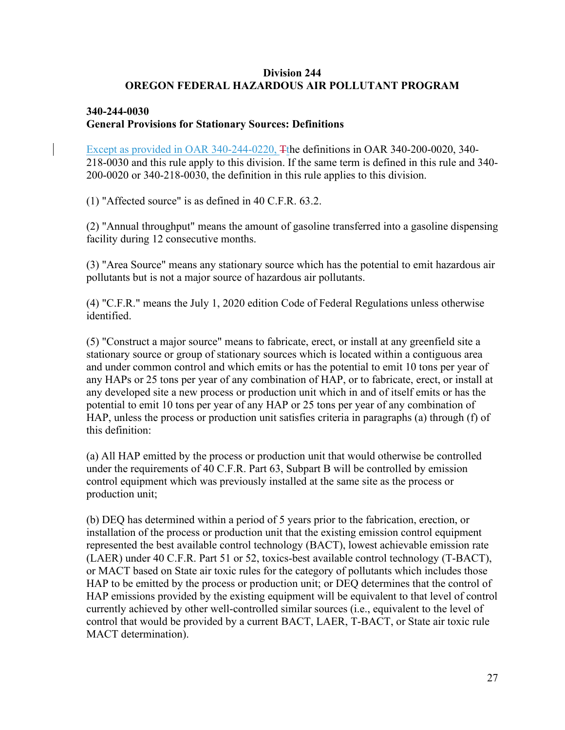#### **Division 244 OREGON FEDERAL HAZARDOUS AIR POLLUTANT PROGRAM**

#### **[340-244-0030](https://secure.sos.state.or.us/oard/viewSingleRule.action?ruleVrsnRsn=276127) General Provisions for Stationary Sources: Definitions**

Except as provided in OAR 340-244-0220, Tthe definitions in OAR 340-200-0020, 340- 218-0030 and this rule apply to this division. If the same term is defined in this rule and 340- 200-0020 or 340-218-0030, the definition in this rule applies to this division.

(1) "Affected source" is as defined in 40 C.F.R. 63.2.

(2) "Annual throughput" means the amount of gasoline transferred into a gasoline dispensing facility during 12 consecutive months.

(3) "Area Source" means any stationary source which has the potential to emit hazardous air pollutants but is not a major source of hazardous air pollutants.

(4) "C.F.R." means the July 1, 2020 edition Code of Federal Regulations unless otherwise identified.

(5) "Construct a major source" means to fabricate, erect, or install at any greenfield site a stationary source or group of stationary sources which is located within a contiguous area and under common control and which emits or has the potential to emit 10 tons per year of any HAPs or 25 tons per year of any combination of HAP, or to fabricate, erect, or install at any developed site a new process or production unit which in and of itself emits or has the potential to emit 10 tons per year of any HAP or 25 tons per year of any combination of HAP, unless the process or production unit satisfies criteria in paragraphs (a) through (f) of this definition:

(a) All HAP emitted by the process or production unit that would otherwise be controlled under the requirements of 40 C.F.R. Part 63, Subpart B will be controlled by emission control equipment which was previously installed at the same site as the process or production unit;

(b) DEQ has determined within a period of 5 years prior to the fabrication, erection, or installation of the process or production unit that the existing emission control equipment represented the best available control technology (BACT), lowest achievable emission rate (LAER) under 40 C.F.R. Part 51 or 52, toxics-best available control technology (T-BACT), or MACT based on State air toxic rules for the category of pollutants which includes those HAP to be emitted by the process or production unit; or DEQ determines that the control of HAP emissions provided by the existing equipment will be equivalent to that level of control currently achieved by other well-controlled similar sources (i.e., equivalent to the level of control that would be provided by a current BACT, LAER, T-BACT, or State air toxic rule MACT determination).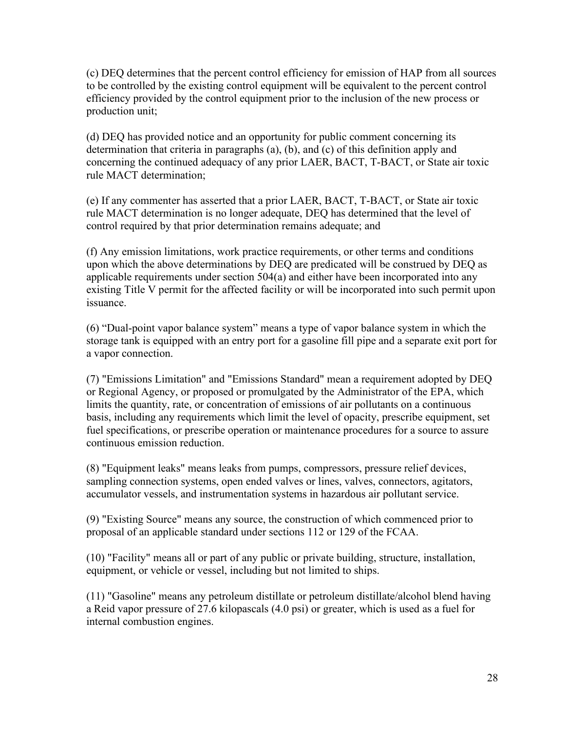(c) DEQ determines that the percent control efficiency for emission of HAP from all sources to be controlled by the existing control equipment will be equivalent to the percent control efficiency provided by the control equipment prior to the inclusion of the new process or production unit;

(d) DEQ has provided notice and an opportunity for public comment concerning its determination that criteria in paragraphs (a), (b), and (c) of this definition apply and concerning the continued adequacy of any prior LAER, BACT, T-BACT, or State air toxic rule MACT determination;

(e) If any commenter has asserted that a prior LAER, BACT, T-BACT, or State air toxic rule MACT determination is no longer adequate, DEQ has determined that the level of control required by that prior determination remains adequate; and

(f) Any emission limitations, work practice requirements, or other terms and conditions upon which the above determinations by DEQ are predicated will be construed by DEQ as applicable requirements under section 504(a) and either have been incorporated into any existing Title V permit for the affected facility or will be incorporated into such permit upon issuance.

(6) "Dual-point vapor balance system" means a type of vapor balance system in which the storage tank is equipped with an entry port for a gasoline fill pipe and a separate exit port for a vapor connection.

(7) "Emissions Limitation" and "Emissions Standard" mean a requirement adopted by DEQ or Regional Agency, or proposed or promulgated by the Administrator of the EPA, which limits the quantity, rate, or concentration of emissions of air pollutants on a continuous basis, including any requirements which limit the level of opacity, prescribe equipment, set fuel specifications, or prescribe operation or maintenance procedures for a source to assure continuous emission reduction.

(8) "Equipment leaks" means leaks from pumps, compressors, pressure relief devices, sampling connection systems, open ended valves or lines, valves, connectors, agitators, accumulator vessels, and instrumentation systems in hazardous air pollutant service.

(9) "Existing Source" means any source, the construction of which commenced prior to proposal of an applicable standard under sections 112 or 129 of the FCAA.

(10) "Facility" means all or part of any public or private building, structure, installation, equipment, or vehicle or vessel, including but not limited to ships.

(11) "Gasoline" means any petroleum distillate or petroleum distillate/alcohol blend having a Reid vapor pressure of 27.6 kilopascals (4.0 psi) or greater, which is used as a fuel for internal combustion engines.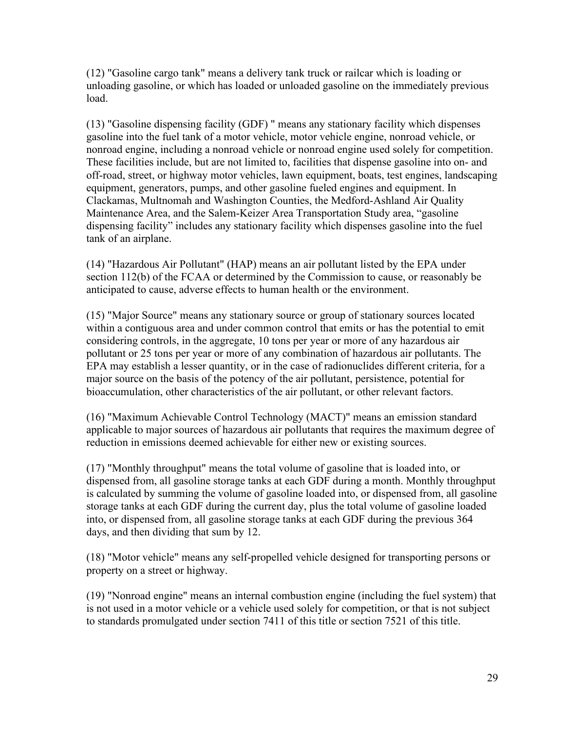(12) "Gasoline cargo tank" means a delivery tank truck or railcar which is loading or unloading gasoline, or which has loaded or unloaded gasoline on the immediately previous load.

(13) "Gasoline dispensing facility (GDF) " means any stationary facility which dispenses gasoline into the fuel tank of a motor vehicle, motor vehicle engine, nonroad vehicle, or nonroad engine, including a nonroad vehicle or nonroad engine used solely for competition. These facilities include, but are not limited to, facilities that dispense gasoline into on- and off-road, street, or highway motor vehicles, lawn equipment, boats, test engines, landscaping equipment, generators, pumps, and other gasoline fueled engines and equipment. In Clackamas, Multnomah and Washington Counties, the Medford-Ashland Air Quality Maintenance Area, and the Salem-Keizer Area Transportation Study area, "gasoline dispensing facility" includes any stationary facility which dispenses gasoline into the fuel tank of an airplane.

(14) "Hazardous Air Pollutant" (HAP) means an air pollutant listed by the EPA under section 112(b) of the FCAA or determined by the Commission to cause, or reasonably be anticipated to cause, adverse effects to human health or the environment.

(15) "Major Source" means any stationary source or group of stationary sources located within a contiguous area and under common control that emits or has the potential to emit considering controls, in the aggregate, 10 tons per year or more of any hazardous air pollutant or 25 tons per year or more of any combination of hazardous air pollutants. The EPA may establish a lesser quantity, or in the case of radionuclides different criteria, for a major source on the basis of the potency of the air pollutant, persistence, potential for bioaccumulation, other characteristics of the air pollutant, or other relevant factors.

(16) "Maximum Achievable Control Technology (MACT)" means an emission standard applicable to major sources of hazardous air pollutants that requires the maximum degree of reduction in emissions deemed achievable for either new or existing sources.

(17) "Monthly throughput" means the total volume of gasoline that is loaded into, or dispensed from, all gasoline storage tanks at each GDF during a month. Monthly throughput is calculated by summing the volume of gasoline loaded into, or dispensed from, all gasoline storage tanks at each GDF during the current day, plus the total volume of gasoline loaded into, or dispensed from, all gasoline storage tanks at each GDF during the previous 364 days, and then dividing that sum by 12.

(18) "Motor vehicle" means any self-propelled vehicle designed for transporting persons or property on a street or highway.

(19) "Nonroad engine" means an internal combustion engine (including the fuel system) that is not used in a motor vehicle or a vehicle used solely for competition, or that is not subject to standards promulgated under section 7411 of this title or section 7521 of this title.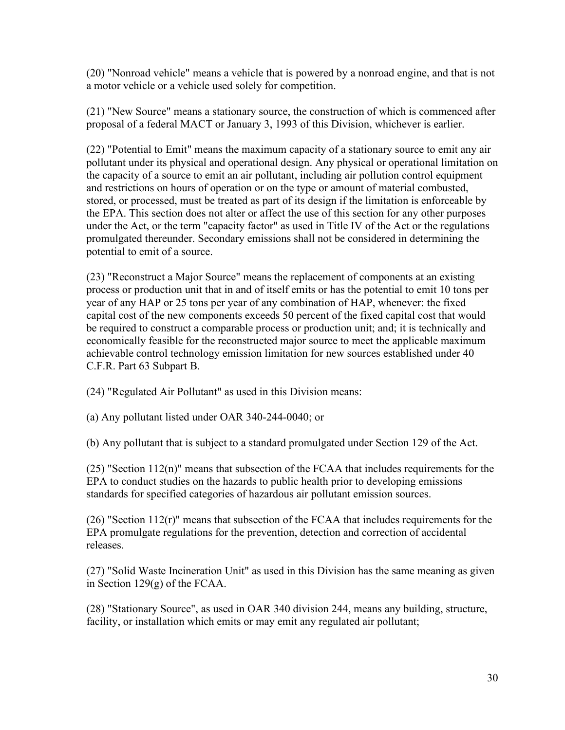(20) "Nonroad vehicle" means a vehicle that is powered by a nonroad engine, and that is not a motor vehicle or a vehicle used solely for competition.

(21) "New Source" means a stationary source, the construction of which is commenced after proposal of a federal MACT or January 3, 1993 of this Division, whichever is earlier.

(22) "Potential to Emit" means the maximum capacity of a stationary source to emit any air pollutant under its physical and operational design. Any physical or operational limitation on the capacity of a source to emit an air pollutant, including air pollution control equipment and restrictions on hours of operation or on the type or amount of material combusted, stored, or processed, must be treated as part of its design if the limitation is enforceable by the EPA. This section does not alter or affect the use of this section for any other purposes under the Act, or the term "capacity factor" as used in Title IV of the Act or the regulations promulgated thereunder. Secondary emissions shall not be considered in determining the potential to emit of a source.

(23) "Reconstruct a Major Source" means the replacement of components at an existing process or production unit that in and of itself emits or has the potential to emit 10 tons per year of any HAP or 25 tons per year of any combination of HAP, whenever: the fixed capital cost of the new components exceeds 50 percent of the fixed capital cost that would be required to construct a comparable process or production unit; and; it is technically and economically feasible for the reconstructed major source to meet the applicable maximum achievable control technology emission limitation for new sources established under 40 C.F.R. Part 63 Subpart B.

(24) "Regulated Air Pollutant" as used in this Division means:

(a) Any pollutant listed under OAR 340-244-0040; or

(b) Any pollutant that is subject to a standard promulgated under Section 129 of the Act.

 $(25)$  "Section  $112(n)$ " means that subsection of the FCAA that includes requirements for the EPA to conduct studies on the hazards to public health prior to developing emissions standards for specified categories of hazardous air pollutant emission sources.

 $(26)$  "Section 112(r)" means that subsection of the FCAA that includes requirements for the EPA promulgate regulations for the prevention, detection and correction of accidental releases.

(27) "Solid Waste Incineration Unit" as used in this Division has the same meaning as given in Section 129(g) of the FCAA.

(28) "Stationary Source", as used in OAR 340 division 244, means any building, structure, facility, or installation which emits or may emit any regulated air pollutant;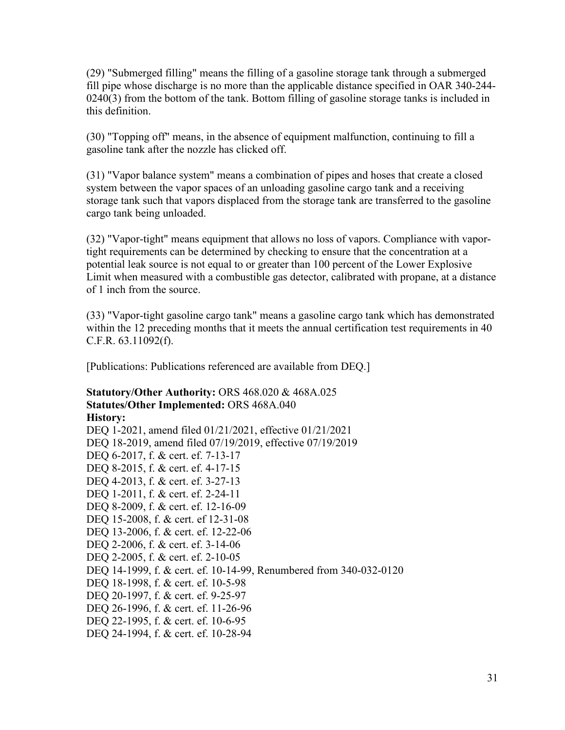(29) "Submerged filling" means the filling of a gasoline storage tank through a submerged fill pipe whose discharge is no more than the applicable distance specified in OAR 340-244- 0240(3) from the bottom of the tank. Bottom filling of gasoline storage tanks is included in this definition.

(30) "Topping off" means, in the absence of equipment malfunction, continuing to fill a gasoline tank after the nozzle has clicked off.

(31) "Vapor balance system" means a combination of pipes and hoses that create a closed system between the vapor spaces of an unloading gasoline cargo tank and a receiving storage tank such that vapors displaced from the storage tank are transferred to the gasoline cargo tank being unloaded.

(32) "Vapor-tight" means equipment that allows no loss of vapors. Compliance with vaportight requirements can be determined by checking to ensure that the concentration at a potential leak source is not equal to or greater than 100 percent of the Lower Explosive Limit when measured with a combustible gas detector, calibrated with propane, at a distance of 1 inch from the source.

(33) "Vapor-tight gasoline cargo tank" means a gasoline cargo tank which has demonstrated within the 12 preceding months that it meets the annual certification test requirements in 40 C.F.R. 63.11092(f).

[Publications: Publications referenced are available from DEQ.]

**Statutory/Other Authority:** ORS 468.020 & 468A.025 **Statutes/Other Implemented:** ORS 468A.040 **History:** [DEQ 1-2021, amend filed 01/21/2021, effective 01/21/2021](https://secure.sos.state.or.us/oard/viewReceiptTRIM.action?ptId=8022221) [DEQ 18-2019, amend filed 07/19/2019, effective 07/19/2019](https://secure.sos.state.or.us/oard/viewReceiptTRIM.action?ptId=6847093) DEQ 6-2017, f. & cert. ef. 7-13-17 DEQ 8-2015, f. & cert. ef. 4-17-15 DEQ 4-2013, f. & cert. ef. 3-27-13 DEQ 1-2011, f. & cert. ef. 2-24-11 DEQ 8-2009, f. & cert. ef. 12-16-09 DEQ 15-2008, f. & cert. ef 12-31-08 DEQ 13-2006, f. & cert. ef. 12-22-06 DEQ 2-2006, f. & cert. ef. 3-14-06 DEQ 2-2005, f. & cert. ef. 2-10-05 DEQ 14-1999, f. & cert. ef. 10-14-99, Renumbered from 340-032-0120 DEQ 18-1998, f. & cert. ef. 10-5-98 DEQ 20-1997, f. & cert. ef. 9-25-97 DEQ 26-1996, f. & cert. ef. 11-26-96 DEQ 22-1995, f. & cert. ef. 10-6-95 DEQ 24-1994, f. & cert. ef. 10-28-94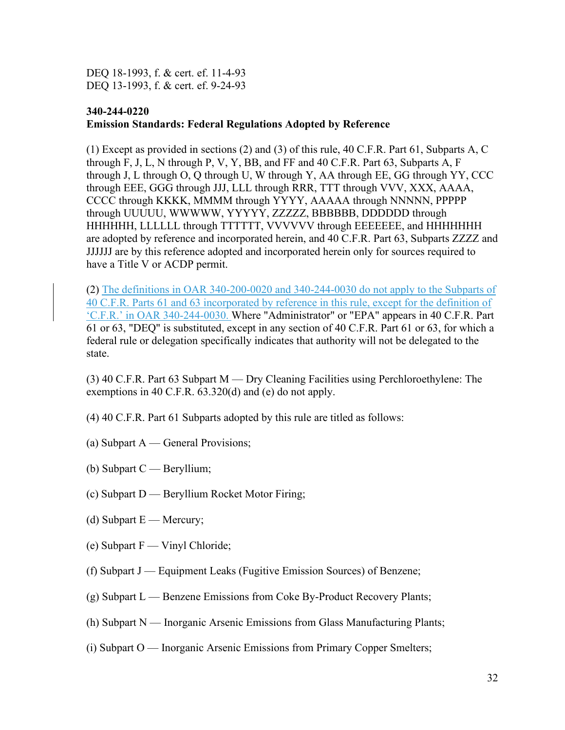DEQ 18-1993, f. & cert. ef. 11-4-93 DEQ 13-1993, f. & cert. ef. 9-24-93

#### **[340-244-0220](https://secure.sos.state.or.us/oard/viewSingleRule.action?ruleVrsnRsn=276128) Emission Standards: Federal Regulations Adopted by Reference**

(1) Except as provided in sections (2) and (3) of this rule, 40 C.F.R. Part 61, Subparts A, C through F, J, L, N through P, V, Y, BB, and FF and 40 C.F.R. Part 63, Subparts A, F through J, L through O, Q through U, W through Y, AA through EE, GG through YY, CCC through EEE, GGG through JJJ, LLL through RRR, TTT through VVV, XXX, AAAA, CCCC through KKKK, MMMM through YYYY, AAAAA through NNNNN, PPPPP through UUUUU, WWWWW, YYYYY, ZZZZZ, BBBBBB, DDDDDD through HHHHHH, LLLLLL through TTTTTT, VVVVVV through EEEEEEE, and HHHHHHH are adopted by reference and incorporated herein, and 40 C.F.R. Part 63, Subparts ZZZZ and JJJJJJ are by this reference adopted and incorporated herein only for sources required to have a Title V or ACDP permit.

(2) The definitions in OAR 340-200-0020 and 340-244-0030 do not apply to the Subparts of 40 C.F.R. Parts 61 and 63 incorporated by reference in this rule, except for the definition of 'C.F.R.' in OAR 340-244-0030. Where "Administrator" or "EPA" appears in 40 C.F.R. Part 61 or 63, "DEQ" is substituted, except in any section of 40 C.F.R. Part 61 or 63, for which a federal rule or delegation specifically indicates that authority will not be delegated to the state.

(3) 40 C.F.R. Part 63 Subpart M — Dry Cleaning Facilities using Perchloroethylene: The exemptions in 40 C.F.R. 63.320(d) and (e) do not apply.

- (4) 40 C.F.R. Part 61 Subparts adopted by this rule are titled as follows:
- (a) Subpart A General Provisions;
- (b) Subpart C Beryllium;
- (c) Subpart D Beryllium Rocket Motor Firing;
- (d) Subpart  $E -$  Mercury;
- (e) Subpart F Vinyl Chloride;
- (f) Subpart J Equipment Leaks (Fugitive Emission Sources) of Benzene;
- $(g)$  Subpart L Benzene Emissions from Coke By-Product Recovery Plants;
- (h) Subpart N Inorganic Arsenic Emissions from Glass Manufacturing Plants;
- (i) Subpart O Inorganic Arsenic Emissions from Primary Copper Smelters;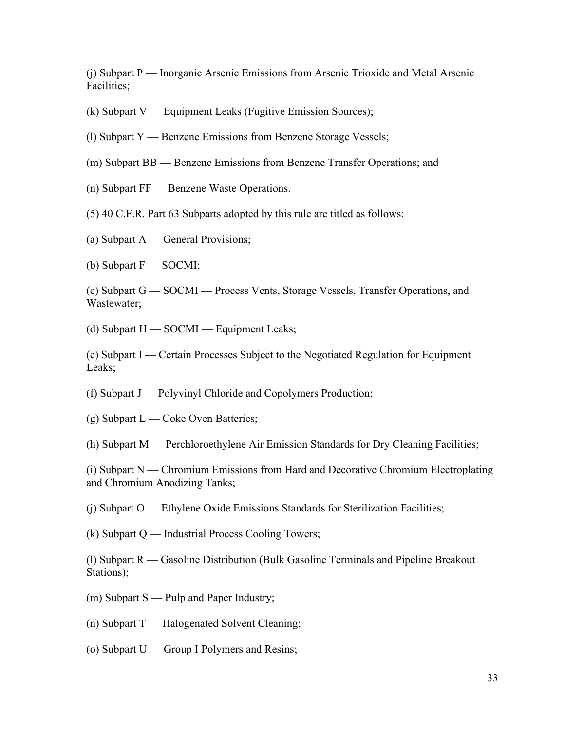(j) Subpart P — Inorganic Arsenic Emissions from Arsenic Trioxide and Metal Arsenic Facilities;

- (k) Subpart V Equipment Leaks (Fugitive Emission Sources);
- (l) Subpart Y Benzene Emissions from Benzene Storage Vessels;
- (m) Subpart BB Benzene Emissions from Benzene Transfer Operations; and
- (n) Subpart FF Benzene Waste Operations.
- (5) 40 C.F.R. Part 63 Subparts adopted by this rule are titled as follows:
- (a) Subpart A General Provisions;
- (b) Subpart F SOCMI;

(c) Subpart G — SOCMI — Process Vents, Storage Vessels, Transfer Operations, and Wastewater;

(d) Subpart H — SOCMI — Equipment Leaks;

(e) Subpart I — Certain Processes Subject to the Negotiated Regulation for Equipment Leaks;

(f) Subpart J — Polyvinyl Chloride and Copolymers Production;

(g) Subpart L — Coke Oven Batteries;

(h) Subpart M — Perchloroethylene Air Emission Standards for Dry Cleaning Facilities;

(i) Subpart N — Chromium Emissions from Hard and Decorative Chromium Electroplating and Chromium Anodizing Tanks;

(j) Subpart O — Ethylene Oxide Emissions Standards for Sterilization Facilities;

(k) Subpart Q — Industrial Process Cooling Towers;

(l) Subpart R — Gasoline Distribution (Bulk Gasoline Terminals and Pipeline Breakout Stations);

- (m) Subpart S Pulp and Paper Industry;
- (n) Subpart T Halogenated Solvent Cleaning;
- (o) Subpart U Group I Polymers and Resins;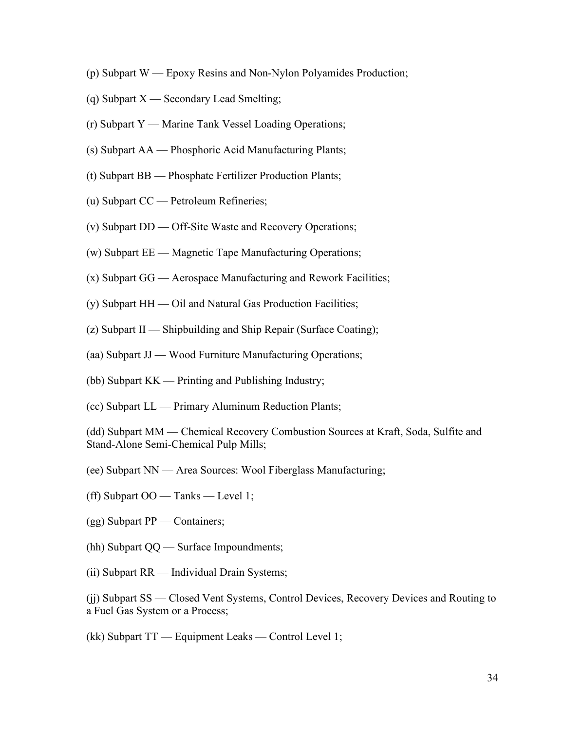- (p) Subpart W Epoxy Resins and Non-Nylon Polyamides Production;
- (q) Subpart X Secondary Lead Smelting;
- (r) Subpart Y Marine Tank Vessel Loading Operations;
- (s) Subpart AA Phosphoric Acid Manufacturing Plants;
- (t) Subpart BB Phosphate Fertilizer Production Plants;
- (u) Subpart CC Petroleum Refineries;
- (v) Subpart DD Off-Site Waste and Recovery Operations;
- (w) Subpart EE Magnetic Tape Manufacturing Operations;
- (x) Subpart GG Aerospace Manufacturing and Rework Facilities;
- (y) Subpart HH Oil and Natural Gas Production Facilities;
- (z) Subpart II Shipbuilding and Ship Repair (Surface Coating);
- (aa) Subpart JJ Wood Furniture Manufacturing Operations;
- (bb) Subpart KK Printing and Publishing Industry;
- (cc) Subpart LL Primary Aluminum Reduction Plants;

(dd) Subpart MM — Chemical Recovery Combustion Sources at Kraft, Soda, Sulfite and Stand-Alone Semi-Chemical Pulp Mills;

- (ee) Subpart NN Area Sources: Wool Fiberglass Manufacturing;
- (ff) Subpart OO Tanks Level 1;
- (gg) Subpart PP Containers;
- (hh) Subpart QQ Surface Impoundments;
- (ii) Subpart RR Individual Drain Systems;

(jj) Subpart SS — Closed Vent Systems, Control Devices, Recovery Devices and Routing to a Fuel Gas System or a Process;

(kk) Subpart TT — Equipment Leaks — Control Level 1;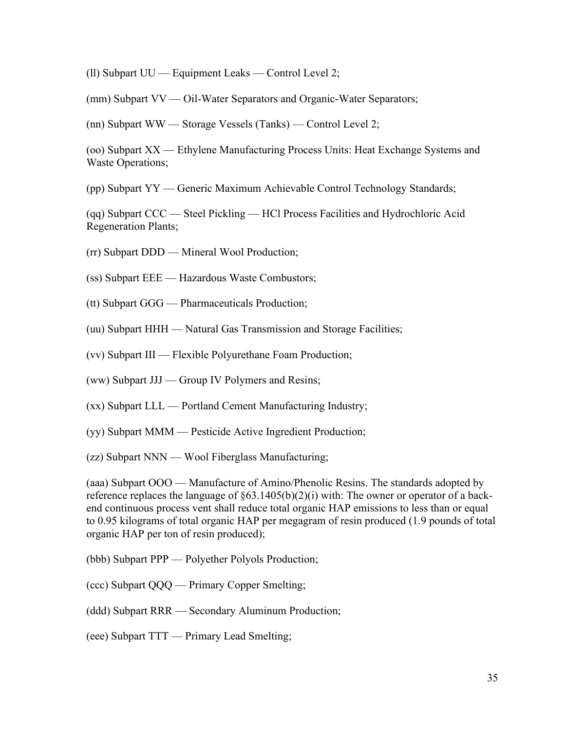(ll) Subpart UU — Equipment Leaks — Control Level 2;

(mm) Subpart VV — Oil-Water Separators and Organic-Water Separators;

(nn) Subpart WW — Storage Vessels (Tanks) — Control Level 2;

(oo) Subpart XX — Ethylene Manufacturing Process Units: Heat Exchange Systems and Waste Operations;

(pp) Subpart YY — Generic Maximum Achievable Control Technology Standards;

(qq) Subpart CCC — Steel Pickling — HCl Process Facilities and Hydrochloric Acid Regeneration Plants;

(rr) Subpart DDD — Mineral Wool Production;

(ss) Subpart EEE — Hazardous Waste Combustors;

(tt) Subpart GGG — Pharmaceuticals Production;

(uu) Subpart HHH — Natural Gas Transmission and Storage Facilities;

(vv) Subpart III — Flexible Polyurethane Foam Production;

(ww) Subpart JJJ — Group IV Polymers and Resins;

(xx) Subpart LLL — Portland Cement Manufacturing Industry;

(yy) Subpart MMM — Pesticide Active Ingredient Production;

(zz) Subpart NNN — Wool Fiberglass Manufacturing;

(aaa) Subpart OOO — Manufacture of Amino/Phenolic Resins. The standards adopted by reference replaces the language of §63.1405(b)(2)(i) with: The owner or operator of a backend continuous process vent shall reduce total organic HAP emissions to less than or equal to 0.95 kilograms of total organic HAP per megagram of resin produced (1.9 pounds of total organic HAP per ton of resin produced);

(bbb) Subpart PPP — Polyether Polyols Production;

(ccc) Subpart QQQ — Primary Copper Smelting;

(ddd) Subpart RRR — Secondary Aluminum Production;

(eee) Subpart TTT — Primary Lead Smelting;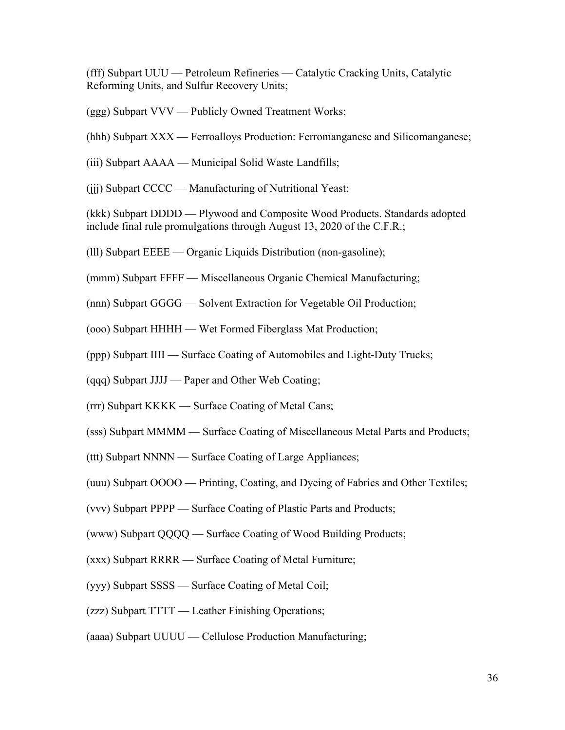(fff) Subpart UUU — Petroleum Refineries — Catalytic Cracking Units, Catalytic Reforming Units, and Sulfur Recovery Units;

- (ggg) Subpart VVV Publicly Owned Treatment Works;
- (hhh) Subpart XXX Ferroalloys Production: Ferromanganese and Silicomanganese;
- (iii) Subpart AAAA Municipal Solid Waste Landfills;
- (jjj) Subpart CCCC Manufacturing of Nutritional Yeast;

(kkk) Subpart DDDD — Plywood and Composite Wood Products. Standards adopted include final rule promulgations through August 13, 2020 of the C.F.R.;

(lll) Subpart EEEE — Organic Liquids Distribution (non-gasoline);

(mmm) Subpart FFFF — Miscellaneous Organic Chemical Manufacturing;

- (nnn) Subpart GGGG Solvent Extraction for Vegetable Oil Production;
- (ooo) Subpart HHHH Wet Formed Fiberglass Mat Production;
- (ppp) Subpart IIII Surface Coating of Automobiles and Light-Duty Trucks;
- (qqq) Subpart JJJJ Paper and Other Web Coating;
- (rrr) Subpart KKKK Surface Coating of Metal Cans;
- (sss) Subpart MMMM Surface Coating of Miscellaneous Metal Parts and Products;
- (ttt) Subpart NNNN Surface Coating of Large Appliances;
- (uuu) Subpart OOOO Printing, Coating, and Dyeing of Fabrics and Other Textiles;
- (vvv) Subpart PPPP Surface Coating of Plastic Parts and Products;
- (www) Subpart QQQQ Surface Coating of Wood Building Products;
- (xxx) Subpart RRRR Surface Coating of Metal Furniture;
- (yyy) Subpart SSSS Surface Coating of Metal Coil;
- (zzz) Subpart TTTT Leather Finishing Operations;
- (aaaa) Subpart UUUU Cellulose Production Manufacturing;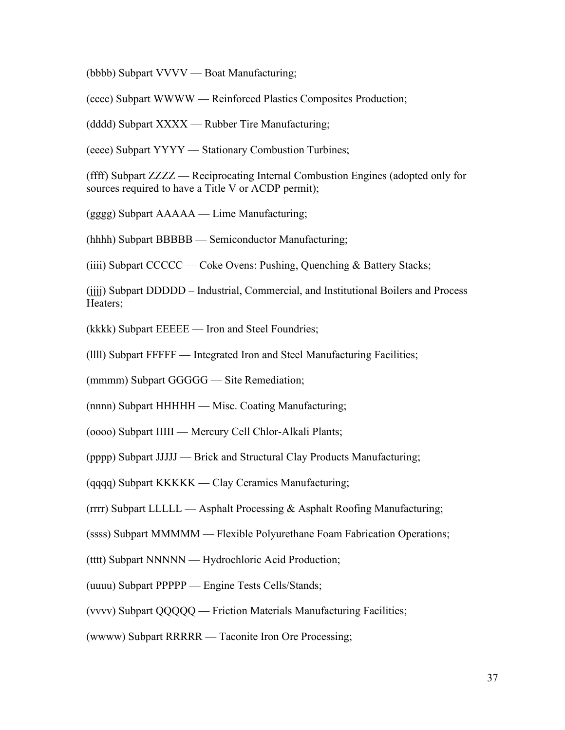(bbbb) Subpart VVVV — Boat Manufacturing;

(cccc) Subpart WWWW — Reinforced Plastics Composites Production;

(dddd) Subpart XXXX — Rubber Tire Manufacturing;

(eeee) Subpart YYYY — Stationary Combustion Turbines;

(ffff) Subpart ZZZZ — Reciprocating Internal Combustion Engines (adopted only for sources required to have a Title V or ACDP permit);

(gggg) Subpart AAAAA — Lime Manufacturing;

(hhhh) Subpart BBBBB — Semiconductor Manufacturing;

(iiii) Subpart CCCCC — Coke Ovens: Pushing, Quenching & Battery Stacks;

(jjjj) Subpart DDDDD – Industrial, Commercial, and Institutional Boilers and Process Heaters;

(kkkk) Subpart EEEEE — Iron and Steel Foundries;

(llll) Subpart FFFFF — Integrated Iron and Steel Manufacturing Facilities;

(mmmm) Subpart GGGGG — Site Remediation;

(nnnn) Subpart HHHHH — Misc. Coating Manufacturing;

(oooo) Subpart IIIII — Mercury Cell Chlor-Alkali Plants;

(pppp) Subpart JJJJJ — Brick and Structural Clay Products Manufacturing;

(qqqq) Subpart KKKKK — Clay Ceramics Manufacturing;

(rrrr) Subpart LLLLL — Asphalt Processing & Asphalt Roofing Manufacturing;

(ssss) Subpart MMMMM — Flexible Polyurethane Foam Fabrication Operations;

(tttt) Subpart NNNNN — Hydrochloric Acid Production;

(uuuu) Subpart PPPPP — Engine Tests Cells/Stands;

(vvvv) Subpart QQQQQ — Friction Materials Manufacturing Facilities;

(wwww) Subpart RRRRR — Taconite Iron Ore Processing;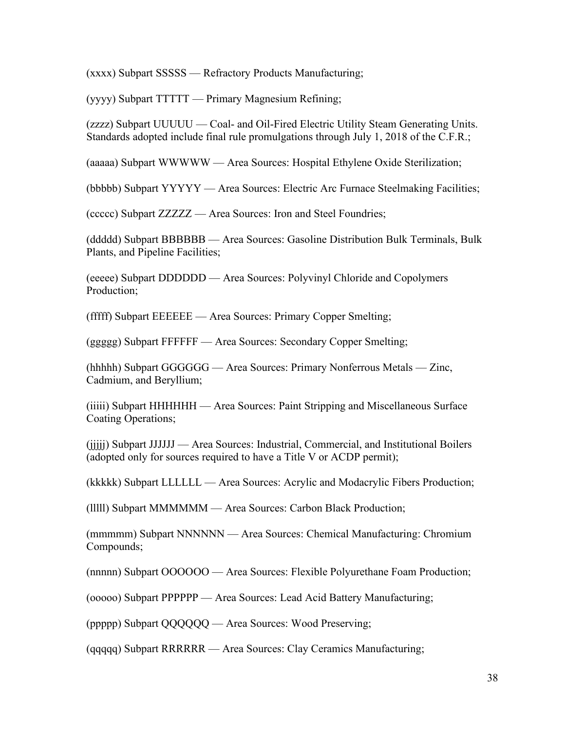(xxxx) Subpart SSSSS — Refractory Products Manufacturing;

(yyyy) Subpart TTTTT — Primary Magnesium Refining;

(zzzz) Subpart UUUUU — Coal- and Oil-Fired Electric Utility Steam Generating Units. Standards adopted include final rule promulgations through July 1, 2018 of the C.F.R.;

(aaaaa) Subpart WWWWW — Area Sources: Hospital Ethylene Oxide Sterilization;

(bbbbb) Subpart YYYYY — Area Sources: Electric Arc Furnace Steelmaking Facilities;

(ccccc) Subpart ZZZZZ — Area Sources: Iron and Steel Foundries;

(ddddd) Subpart BBBBBB — Area Sources: Gasoline Distribution Bulk Terminals, Bulk Plants, and Pipeline Facilities;

(eeeee) Subpart DDDDDD — Area Sources: Polyvinyl Chloride and Copolymers Production;

(fffff) Subpart EEEEEE — Area Sources: Primary Copper Smelting;

(ggggg) Subpart FFFFFF — Area Sources: Secondary Copper Smelting;

(hhhhh) Subpart GGGGGG — Area Sources: Primary Nonferrous Metals — Zinc, Cadmium, and Beryllium;

(iiiii) Subpart HHHHHH — Area Sources: Paint Stripping and Miscellaneous Surface Coating Operations;

(jjjjj) Subpart JJJJJJ — Area Sources: Industrial, Commercial, and Institutional Boilers (adopted only for sources required to have a Title V or ACDP permit);

(kkkkk) Subpart LLLLLL — Area Sources: Acrylic and Modacrylic Fibers Production;

(lllll) Subpart MMMMMM — Area Sources: Carbon Black Production;

(mmmmm) Subpart NNNNNN — Area Sources: Chemical Manufacturing: Chromium Compounds;

(nnnnn) Subpart OOOOOO — Area Sources: Flexible Polyurethane Foam Production;

(ooooo) Subpart PPPPPP — Area Sources: Lead Acid Battery Manufacturing;

(ppppp) Subpart QQQQQQ — Area Sources: Wood Preserving;

(qqqqq) Subpart RRRRRR — Area Sources: Clay Ceramics Manufacturing;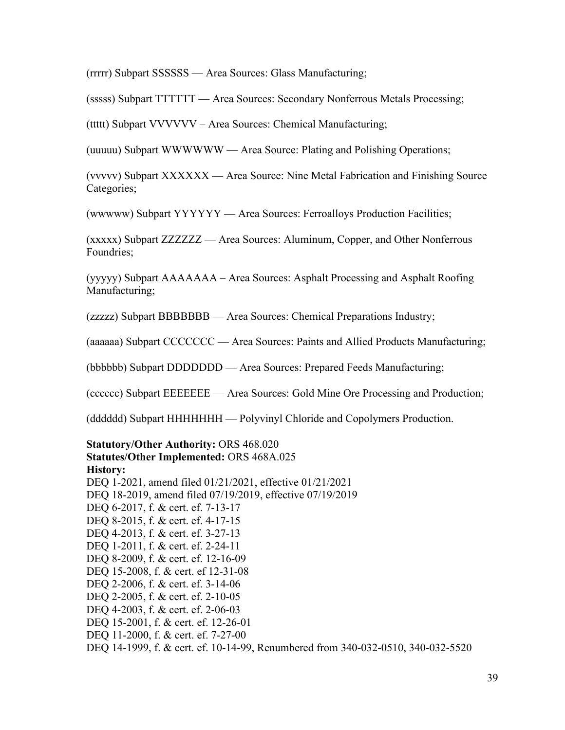(rrrrr) Subpart SSSSSS — Area Sources: Glass Manufacturing;

(sssss) Subpart TTTTTT — Area Sources: Secondary Nonferrous Metals Processing;

(ttttt) Subpart VVVVVV – Area Sources: Chemical Manufacturing;

(uuuuu) Subpart WWWWWW — Area Source: Plating and Polishing Operations;

(vvvvv) Subpart XXXXXX — Area Source: Nine Metal Fabrication and Finishing Source Categories;

(wwwww) Subpart YYYYYY — Area Sources: Ferroalloys Production Facilities;

(xxxxx) Subpart ZZZZZZ — Area Sources: Aluminum, Copper, and Other Nonferrous Foundries;

(yyyyy) Subpart AAAAAAA – Area Sources: Asphalt Processing and Asphalt Roofing Manufacturing;

(zzzzz) Subpart BBBBBBB — Area Sources: Chemical Preparations Industry;

(aaaaaa) Subpart CCCCCCC — Area Sources: Paints and Allied Products Manufacturing;

(bbbbbb) Subpart DDDDDDD — Area Sources: Prepared Feeds Manufacturing;

(cccccc) Subpart EEEEEEE — Area Sources: Gold Mine Ore Processing and Production;

(dddddd) Subpart HHHHHHH — Polyvinyl Chloride and Copolymers Production.

**Statutory/Other Authority:** ORS 468.020 **Statutes/Other Implemented:** ORS 468A.025 **History:** [DEQ 1-2021, amend filed 01/21/2021, effective 01/21/2021](https://secure.sos.state.or.us/oard/viewReceiptTRIM.action?ptId=8022221) [DEQ 18-2019, amend filed 07/19/2019, effective 07/19/2019](https://secure.sos.state.or.us/oard/viewReceiptTRIM.action?ptId=6847093) DEO 6-2017, f. & cert. ef. 7-13-17 DEQ 8-2015, f. & cert. ef. 4-17-15 DEQ 4-2013, f. & cert. ef. 3-27-13 DEQ 1-2011, f. & cert. ef. 2-24-11 DEQ 8-2009, f. & cert. ef. 12-16-09 DEQ 15-2008, f. & cert. ef 12-31-08 DEQ 2-2006, f. & cert. ef. 3-14-06 DEQ 2-2005, f. & cert. ef. 2-10-05 DEQ 4-2003, f. & cert. ef. 2-06-03 DEQ 15-2001, f. & cert. ef. 12-26-01 DEQ 11-2000, f. & cert. ef. 7-27-00 DEQ 14-1999, f. & cert. ef. 10-14-99, Renumbered from 340-032-0510, 340-032-5520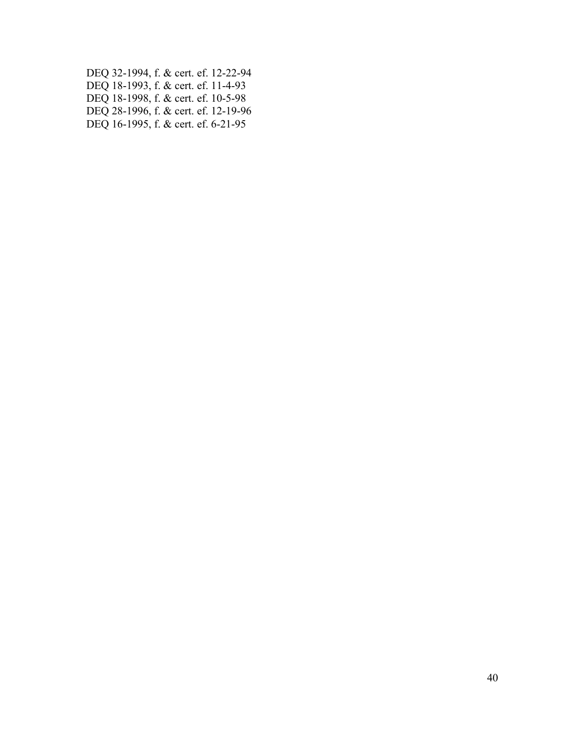DEQ 32-1994, f. & cert. ef. 12-22-94 DEQ 18-1993, f. & cert. ef. 11-4-93 DEQ 18-1998, f. & cert. ef. 10-5-98 DEQ 28-1996, f. & cert. ef. 12-19-96 DEQ 16-1995, f. & cert. ef. 6-21-95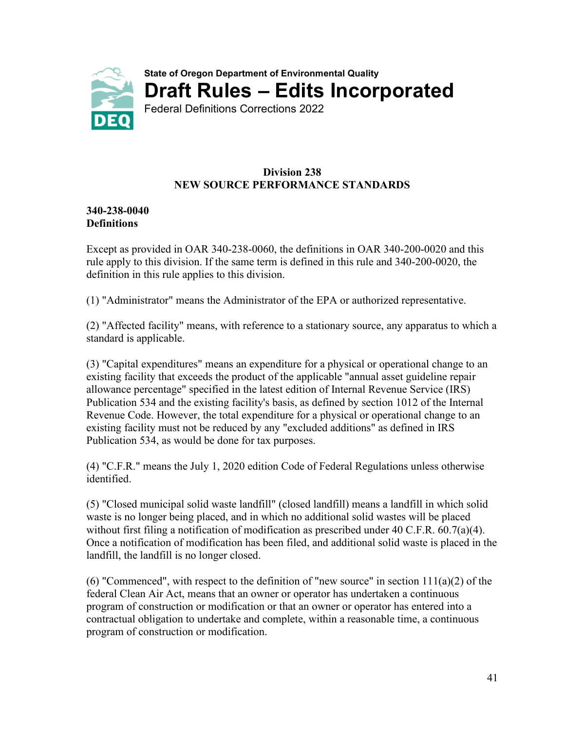<span id="page-42-0"></span>

#### **Division 238 NEW SOURCE PERFORMANCE STANDARDS**

#### **340-238-0040 Definitions**

Except as provided in OAR 340-238-0060, the definitions in OAR 340-200-0020 and this rule apply to this division. If the same term is defined in this rule and 340-200-0020, the definition in this rule applies to this division.

(1) "Administrator" means the Administrator of the EPA or authorized representative.

(2) "Affected facility" means, with reference to a stationary source, any apparatus to which a standard is applicable.

(3) "Capital expenditures" means an expenditure for a physical or operational change to an existing facility that exceeds the product of the applicable "annual asset guideline repair allowance percentage" specified in the latest edition of Internal Revenue Service (IRS) Publication 534 and the existing facility's basis, as defined by section 1012 of the Internal Revenue Code. However, the total expenditure for a physical or operational change to an existing facility must not be reduced by any "excluded additions" as defined in IRS Publication 534, as would be done for tax purposes.

(4) "C.F.R." means the July 1, 2020 edition Code of Federal Regulations unless otherwise identified.

(5) "Closed municipal solid waste landfill" (closed landfill) means a landfill in which solid waste is no longer being placed, and in which no additional solid wastes will be placed without first filing a notification of modification as prescribed under 40 C.F.R. 60.7(a)(4). Once a notification of modification has been filed, and additional solid waste is placed in the landfill, the landfill is no longer closed.

(6) "Commenced", with respect to the definition of "new source" in section  $111(a)(2)$  of the federal Clean Air Act, means that an owner or operator has undertaken a continuous program of construction or modification or that an owner or operator has entered into a contractual obligation to undertake and complete, within a reasonable time, a continuous program of construction or modification.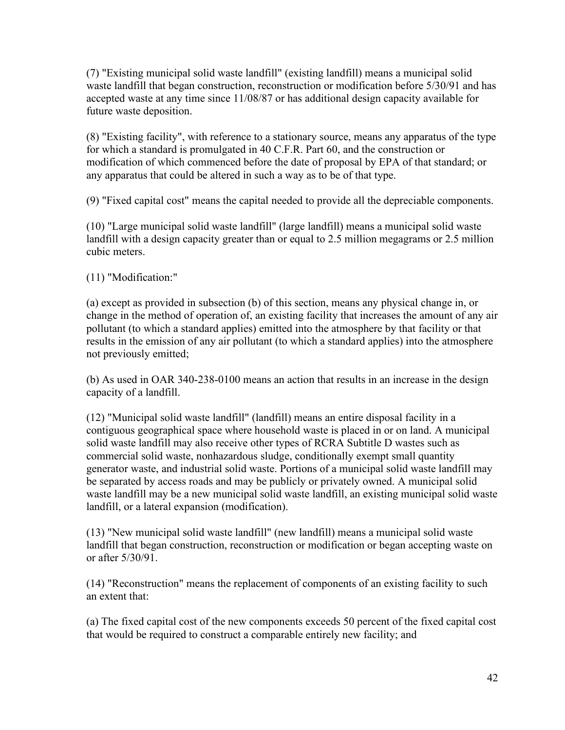(7) "Existing municipal solid waste landfill" (existing landfill) means a municipal solid waste landfill that began construction, reconstruction or modification before 5/30/91 and has accepted waste at any time since 11/08/87 or has additional design capacity available for future waste deposition.

(8) "Existing facility", with reference to a stationary source, means any apparatus of the type for which a standard is promulgated in 40 C.F.R. Part 60, and the construction or modification of which commenced before the date of proposal by EPA of that standard; or any apparatus that could be altered in such a way as to be of that type.

(9) "Fixed capital cost" means the capital needed to provide all the depreciable components.

(10) "Large municipal solid waste landfill" (large landfill) means a municipal solid waste landfill with a design capacity greater than or equal to 2.5 million megagrams or 2.5 million cubic meters.

(11) "Modification:"

(a) except as provided in subsection (b) of this section, means any physical change in, or change in the method of operation of, an existing facility that increases the amount of any air pollutant (to which a standard applies) emitted into the atmosphere by that facility or that results in the emission of any air pollutant (to which a standard applies) into the atmosphere not previously emitted;

(b) As used in OAR 340-238-0100 means an action that results in an increase in the design capacity of a landfill.

(12) "Municipal solid waste landfill" (landfill) means an entire disposal facility in a contiguous geographical space where household waste is placed in or on land. A municipal solid waste landfill may also receive other types of RCRA Subtitle D wastes such as commercial solid waste, nonhazardous sludge, conditionally exempt small quantity generator waste, and industrial solid waste. Portions of a municipal solid waste landfill may be separated by access roads and may be publicly or privately owned. A municipal solid waste landfill may be a new municipal solid waste landfill, an existing municipal solid waste landfill, or a lateral expansion (modification).

(13) "New municipal solid waste landfill" (new landfill) means a municipal solid waste landfill that began construction, reconstruction or modification or began accepting waste on or after 5/30/91.

(14) "Reconstruction" means the replacement of components of an existing facility to such an extent that:

(a) The fixed capital cost of the new components exceeds 50 percent of the fixed capital cost that would be required to construct a comparable entirely new facility; and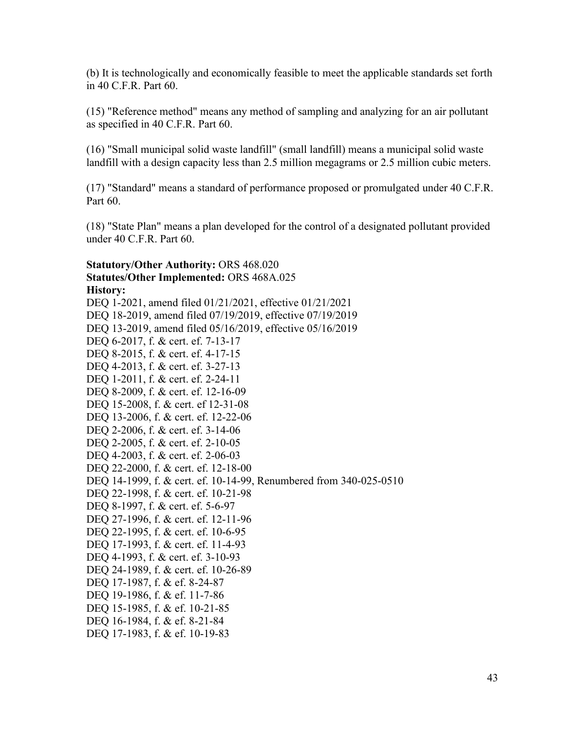(b) It is technologically and economically feasible to meet the applicable standards set forth in 40 C.F.R. Part 60.

(15) "Reference method" means any method of sampling and analyzing for an air pollutant as specified in 40 C.F.R. Part 60.

(16) "Small municipal solid waste landfill" (small landfill) means a municipal solid waste landfill with a design capacity less than 2.5 million megagrams or 2.5 million cubic meters.

(17) "Standard" means a standard of performance proposed or promulgated under 40 C.F.R. Part 60.

(18) "State Plan" means a plan developed for the control of a designated pollutant provided under 40 C.F.R. Part 60.

#### **Statutory/Other Authority:** ORS 468.020 **Statutes/Other Implemented:** ORS 468A.025 **History:**

[DEQ 1-2021, amend filed 01/21/2021, effective 01/21/2021](https://secure.sos.state.or.us/oard/viewReceiptTRIM.action?ptId=8022221) [DEQ 18-2019, amend filed 07/19/2019, effective 07/19/2019](https://secure.sos.state.or.us/oard/viewReceiptTRIM.action?ptId=6847093) DEQ 13-2019, amend filed [05/16/2019, effective 05/16/2019](https://secure.sos.state.or.us/oard/viewReceiptTRIM.action?ptId=6846659) DEQ 6-2017, f. & cert. ef. 7-13-17 DEQ 8-2015, f. & cert. ef. 4-17-15 DEQ 4-2013, f. & cert. ef. 3-27-13 DEQ 1-2011, f. & cert. ef. 2-24-11 DEQ 8-2009, f. & cert. ef. 12-16-09 DEQ 15-2008, f. & cert. ef 12-31-08 DEQ 13-2006, f. & cert. ef. 12-22-06 DEQ 2-2006, f. & cert. ef. 3-14-06 DEQ 2-2005, f. & cert. ef. 2-10-05 DEQ 4-2003, f. & cert. ef. 2-06-03 DEQ 22-2000, f. & cert. ef. 12-18-00 DEQ 14-1999, f. & cert. ef. 10-14-99, Renumbered from 340-025-0510 DEQ 22-1998, f. & cert. ef. 10-21-98 DEQ 8-1997, f. & cert. ef. 5-6-97 DEQ 27-1996, f. & cert. ef. 12-11-96 DEQ 22-1995, f. & cert. ef. 10-6-95 DEQ 17-1993, f. & cert. ef. 11-4-93 DEQ 4-1993, f. & cert. ef. 3-10-93 DEQ 24-1989, f. & cert. ef. 10-26-89 DEQ 17-1987, f. & ef. 8-24-87 DEQ 19-1986, f. & ef. 11-7-86 DEQ 15-1985, f. & ef. 10-21-85 DEQ 16-1984, f. & ef. 8-21-84 DEQ 17-1983, f. & ef. 10-19-83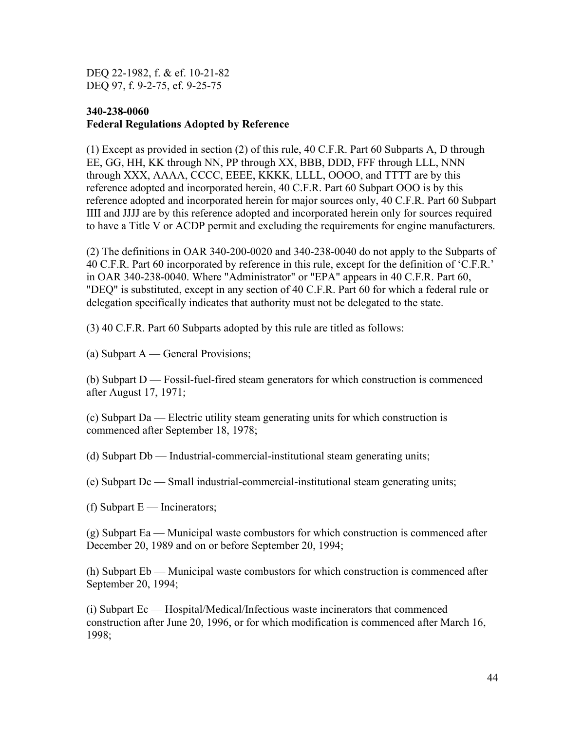DEQ 22-1982, f. & ef. 10-21-82 DEQ 97, f. 9-2-75, ef. 9-25-75

#### **340-238-0060 Federal Regulations Adopted by Reference**

(1) Except as provided in section (2) of this rule, 40 C.F.R. Part 60 Subparts A, D through EE, GG, HH, KK through NN, PP through XX, BBB, DDD, FFF through LLL, NNN through XXX, AAAA, CCCC, EEEE, KKKK, LLLL, OOOO, and TTTT are by this reference adopted and incorporated herein, 40 C.F.R. Part 60 Subpart OOO is by this reference adopted and incorporated herein for major sources only, 40 C.F.R. Part 60 Subpart IIII and JJJJ are by this reference adopted and incorporated herein only for sources required to have a Title V or ACDP permit and excluding the requirements for engine manufacturers.

(2) The definitions in OAR 340-200-0020 and 340-238-0040 do not apply to the Subparts of 40 C.F.R. Part 60 incorporated by reference in this rule, except for the definition of 'C.F.R.' in OAR 340-238-0040. Where "Administrator" or "EPA" appears in 40 C.F.R. Part 60, "DEQ" is substituted, except in any section of 40 C.F.R. Part 60 for which a federal rule or delegation specifically indicates that authority must not be delegated to the state.

(3) 40 C.F.R. Part 60 Subparts adopted by this rule are titled as follows:

(a) Subpart A — General Provisions;

(b) Subpart D — Fossil-fuel-fired steam generators for which construction is commenced after August 17, 1971;

(c) Subpart Da — Electric utility steam generating units for which construction is commenced after September 18, 1978;

(d) Subpart Db — Industrial-commercial-institutional steam generating units;

(e) Subpart Dc — Small industrial-commercial-institutional steam generating units;

(f) Subpart  $E$  — Incinerators;

(g) Subpart Ea — Municipal waste combustors for which construction is commenced after December 20, 1989 and on or before September 20, 1994;

(h) Subpart Eb — Municipal waste combustors for which construction is commenced after September 20, 1994;

(i) Subpart Ec — Hospital/Medical/Infectious waste incinerators that commenced construction after June 20, 1996, or for which modification is commenced after March 16, 1998;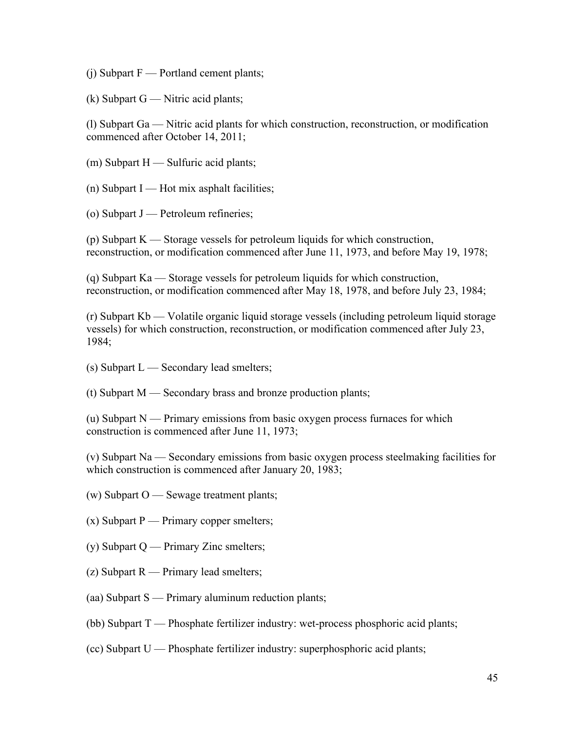$(i)$  Subpart F — Portland cement plants;

 $(k)$  Subpart G — Nitric acid plants;

(l) Subpart Ga — Nitric acid plants for which construction, reconstruction, or modification commenced after October 14, 2011;

- (m) Subpart H Sulfuric acid plants;
- $(n)$  Subpart I Hot mix asphalt facilities;
- (o) Subpart  $J$  Petroleum refineries;

(p) Subpart K — Storage vessels for petroleum liquids for which construction, reconstruction, or modification commenced after June 11, 1973, and before May 19, 1978;

(q) Subpart Ka — Storage vessels for petroleum liquids for which construction, reconstruction, or modification commenced after May 18, 1978, and before July 23, 1984;

(r) Subpart Kb — Volatile organic liquid storage vessels (including petroleum liquid storage vessels) for which construction, reconstruction, or modification commenced after July 23, 1984;

- $(s)$  Subpart  $L$  Secondary lead smelters;
- (t) Subpart M Secondary brass and bronze production plants;

(u) Subpart N — Primary emissions from basic oxygen process furnaces for which construction is commenced after June 11, 1973;

(v) Subpart Na — Secondary emissions from basic oxygen process steelmaking facilities for which construction is commenced after January 20, 1983;

- (w) Subpart O Sewage treatment plants;
- $(x)$  Subpart P Primary copper smelters;
- (y) Subpart  $Q$  Primary Zinc smelters;
- (z) Subpart R Primary lead smelters;
- (aa) Subpart S Primary aluminum reduction plants;
- (bb) Subpart T Phosphate fertilizer industry: wet-process phosphoric acid plants;
- (cc) Subpart U Phosphate fertilizer industry: superphosphoric acid plants;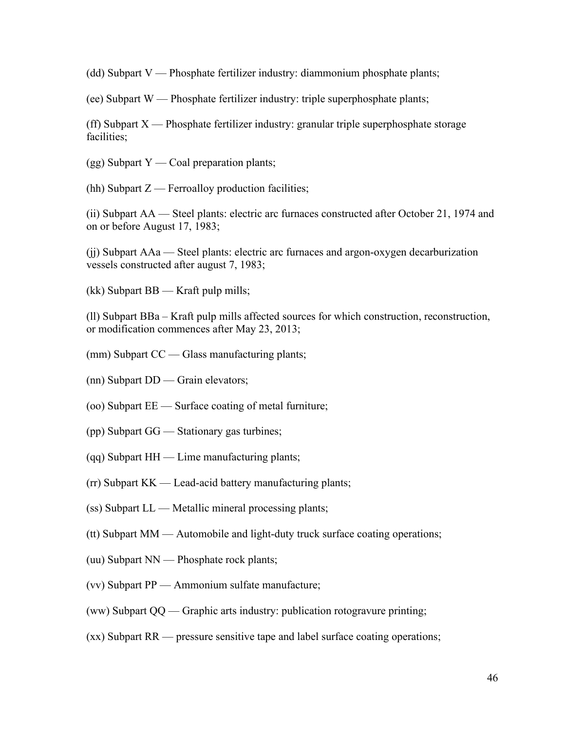(dd) Subpart V — Phosphate fertilizer industry: diammonium phosphate plants;

(ee) Subpart W — Phosphate fertilizer industry: triple superphosphate plants;

(ff) Subpart  $X$  — Phosphate fertilizer industry: granular triple superphosphate storage facilities;

 $(gg)$  Subpart Y — Coal preparation plants;

(hh) Subpart  $Z$  — Ferroalloy production facilities;

(ii) Subpart AA — Steel plants: electric arc furnaces constructed after October 21, 1974 and on or before August 17, 1983;

(jj) Subpart AAa — Steel plants: electric arc furnaces and argon-oxygen decarburization vessels constructed after august 7, 1983;

(kk) Subpart BB — Kraft pulp mills;

(ll) Subpart BBa – Kraft pulp mills affected sources for which construction, reconstruction, or modification commences after May 23, 2013;

- (mm) Subpart CC Glass manufacturing plants;
- (nn) Subpart DD Grain elevators;
- (oo) Subpart EE Surface coating of metal furniture;
- (pp) Subpart GG Stationary gas turbines;
- (qq) Subpart HH Lime manufacturing plants;
- (rr) Subpart KK Lead-acid battery manufacturing plants;
- (ss) Subpart LL Metallic mineral processing plants;
- (tt) Subpart MM Automobile and light-duty truck surface coating operations;
- (uu) Subpart NN Phosphate rock plants;
- (vv) Subpart PP Ammonium sulfate manufacture;
- (ww) Subpart QQ Graphic arts industry: publication rotogravure printing;
- (xx) Subpart RR pressure sensitive tape and label surface coating operations;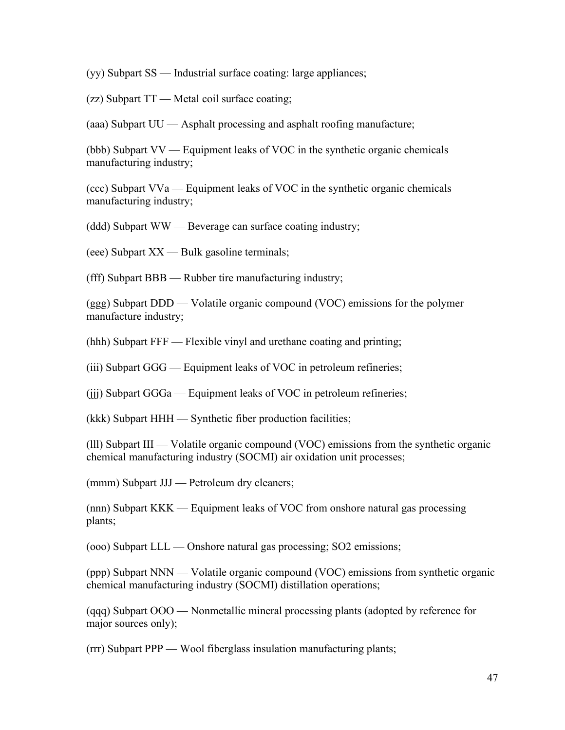(yy) Subpart SS — Industrial surface coating: large appliances;

(zz) Subpart TT — Metal coil surface coating;

(aaa) Subpart UU — Asphalt processing and asphalt roofing manufacture;

(bbb) Subpart VV — Equipment leaks of VOC in the synthetic organic chemicals manufacturing industry;

(ccc) Subpart VVa — Equipment leaks of VOC in the synthetic organic chemicals manufacturing industry;

(ddd) Subpart WW — Beverage can surface coating industry;

(eee) Subpart XX — Bulk gasoline terminals;

(fff) Subpart BBB — Rubber tire manufacturing industry;

(ggg) Subpart DDD — Volatile organic compound (VOC) emissions for the polymer manufacture industry;

(hhh) Subpart FFF — Flexible vinyl and urethane coating and printing;

(iii) Subpart GGG — Equipment leaks of VOC in petroleum refineries;

(jjj) Subpart GGGa — Equipment leaks of VOC in petroleum refineries;

(kkk) Subpart HHH — Synthetic fiber production facilities;

(lll) Subpart III — Volatile organic compound (VOC) emissions from the synthetic organic chemical manufacturing industry (SOCMI) air oxidation unit processes;

(mmm) Subpart JJJ — Petroleum dry cleaners;

(nnn) Subpart KKK — Equipment leaks of VOC from onshore natural gas processing plants;

(ooo) Subpart LLL — Onshore natural gas processing; SO2 emissions;

(ppp) Subpart NNN — Volatile organic compound (VOC) emissions from synthetic organic chemical manufacturing industry (SOCMI) distillation operations;

(qqq) Subpart OOO — Nonmetallic mineral processing plants (adopted by reference for major sources only);

(rrr) Subpart PPP — Wool fiberglass insulation manufacturing plants;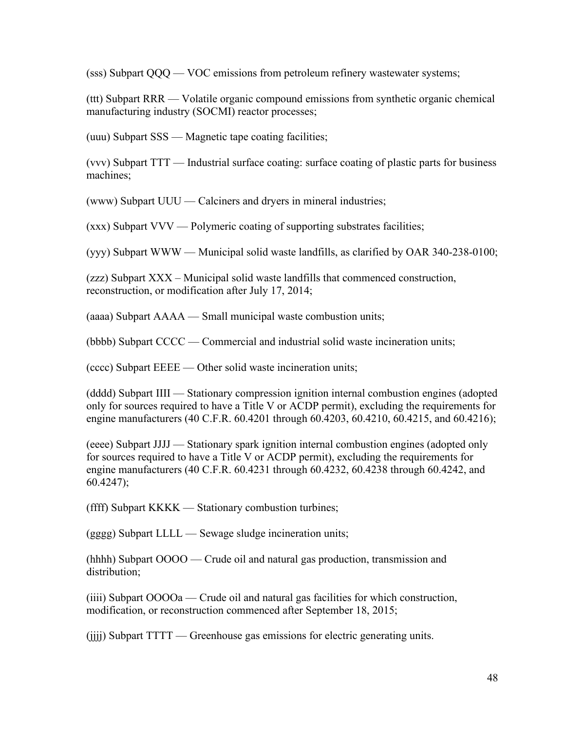(sss) Subpart QQQ — VOC emissions from petroleum refinery wastewater systems;

(ttt) Subpart RRR — Volatile organic compound emissions from synthetic organic chemical manufacturing industry (SOCMI) reactor processes;

(uuu) Subpart SSS — Magnetic tape coating facilities;

(vvv) Subpart TTT — Industrial surface coating: surface coating of plastic parts for business machines;

(www) Subpart UUU — Calciners and dryers in mineral industries;

(xxx) Subpart VVV — Polymeric coating of supporting substrates facilities;

(yyy) Subpart WWW — Municipal solid waste landfills, as clarified by OAR 340-238-0100;

(zzz) Subpart XXX – Municipal solid waste landfills that commenced construction, reconstruction, or modification after July 17, 2014;

(aaaa) Subpart AAAA — Small municipal waste combustion units;

(bbbb) Subpart CCCC — Commercial and industrial solid waste incineration units;

(cccc) Subpart EEEE — Other solid waste incineration units;

(dddd) Subpart IIII — Stationary compression ignition internal combustion engines (adopted only for sources required to have a Title V or ACDP permit), excluding the requirements for engine manufacturers (40 C.F.R. 60.4201 through 60.4203, 60.4210, 60.4215, and 60.4216);

(eeee) Subpart JJJJ — Stationary spark ignition internal combustion engines (adopted only for sources required to have a Title V or ACDP permit), excluding the requirements for engine manufacturers (40 C.F.R. 60.4231 through 60.4232, 60.4238 through 60.4242, and 60.4247);

(ffff) Subpart KKKK — Stationary combustion turbines;

(gggg) Subpart LLLL — Sewage sludge incineration units;

(hhhh) Subpart OOOO — Crude oil and natural gas production, transmission and distribution;

(iiii) Subpart OOOOa — Crude oil and natural gas facilities for which construction, modification, or reconstruction commenced after September 18, 2015;

(jjjj) Subpart TTTT — Greenhouse gas emissions for electric generating units.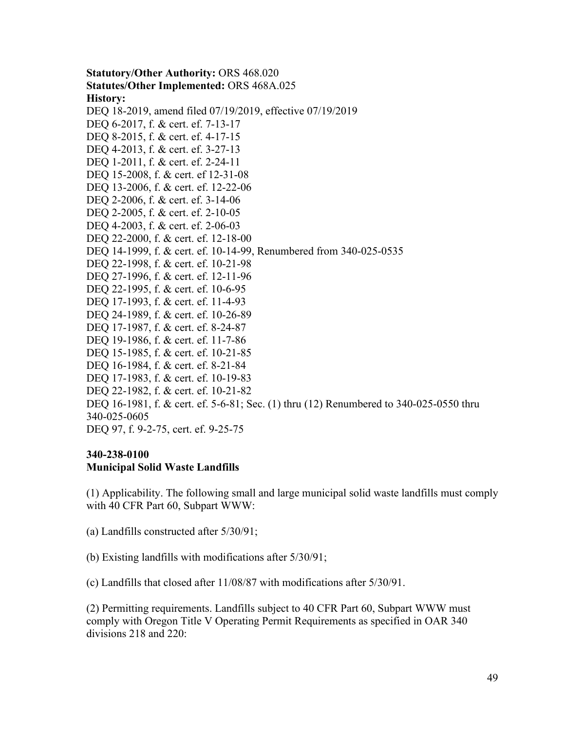**Statutory/Other Authority:** ORS 468.020 **Statutes/Other Implemented:** ORS 468A.025 **History:** [DEQ 18-2019, amend filed 07/19/2019, effective 07/19/2019](https://secure.sos.state.or.us/oard/viewReceiptTRIM.action?ptId=6847093) DEQ 6-2017, f. & cert. ef. 7-13-17 DEQ 8-2015, f. & cert. ef. 4-17-15 DEQ 4-2013, f. & cert. ef. 3-27-13 DEQ 1-2011, f. & cert. ef. 2-24-11 DEQ 15-2008, f. & cert. ef 12-31-08 DEQ 13-2006, f. & cert. ef. 12-22-06 DEQ 2-2006, f. & cert. ef. 3-14-06 DEQ 2-2005, f. & cert. ef. 2-10-05 DEQ 4-2003, f. & cert. ef. 2-06-03 DEQ 22-2000, f. & cert. ef. 12-18-00 DEQ 14-1999, f. & cert. ef. 10-14-99, Renumbered from 340-025-0535 DEQ 22-1998, f. & cert. ef. 10-21-98 DEQ 27-1996, f. & cert. ef. 12-11-96 DEQ 22-1995, f. & cert. ef. 10-6-95 DEQ 17-1993, f. & cert. ef. 11-4-93 DEQ 24-1989, f. & cert. ef. 10-26-89 DEQ 17-1987, f. & cert. ef. 8-24-87 DEQ 19-1986, f. & cert. ef. 11-7-86 DEQ 15-1985, f. & cert. ef. 10-21-85 DEQ 16-1984, f. & cert. ef. 8-21-84 DEQ 17-1983, f. & cert. ef. 10-19-83 DEQ 22-1982, f. & cert. ef. 10-21-82 DEQ 16-1981, f. & cert. ef. 5-6-81; Sec. (1) thru (12) Renumbered to 340-025-0550 thru 340-025-0605 DEQ 97, f. 9-2-75, cert. ef. 9-25-75

#### **340-238-0100**

#### **Municipal Solid Waste Landfills**

(1) Applicability. The following small and large municipal solid waste landfills must comply with 40 CFR Part 60, Subpart WWW:

- (a) Landfills constructed after 5/30/91;
- (b) Existing landfills with modifications after 5/30/91;

(c) Landfills that closed after 11/08/87 with modifications after 5/30/91.

(2) Permitting requirements. Landfills subject to 40 CFR Part 60, Subpart WWW must comply with Oregon Title V Operating Permit Requirements as specified in OAR 340 divisions 218 and 220: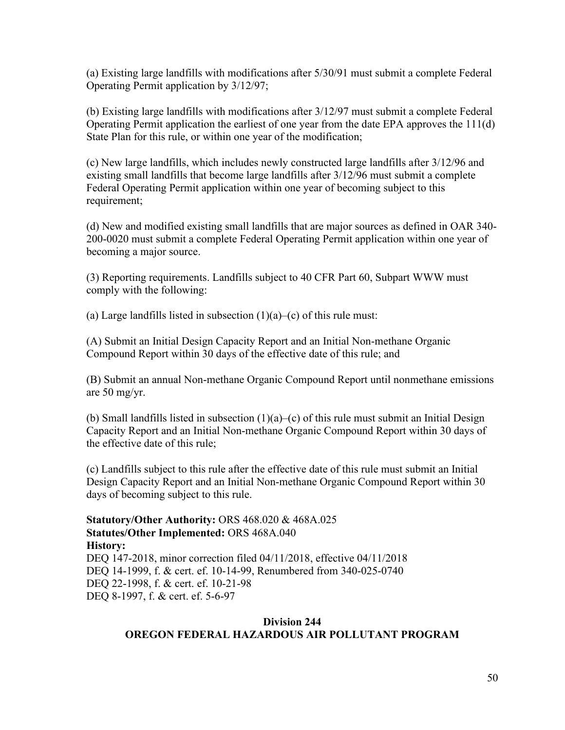(a) Existing large landfills with modifications after 5/30/91 must submit a complete Federal Operating Permit application by 3/12/97;

(b) Existing large landfills with modifications after 3/12/97 must submit a complete Federal Operating Permit application the earliest of one year from the date EPA approves the 111(d) State Plan for this rule, or within one year of the modification;

(c) New large landfills, which includes newly constructed large landfills after 3/12/96 and existing small landfills that become large landfills after 3/12/96 must submit a complete Federal Operating Permit application within one year of becoming subject to this requirement;

(d) New and modified existing small landfills that are major sources as defined in OAR 340- 200-0020 must submit a complete Federal Operating Permit application within one year of becoming a major source.

(3) Reporting requirements. Landfills subject to 40 CFR Part 60, Subpart WWW must comply with the following:

(a) Large landfills listed in subsection  $(1)(a)$ –(c) of this rule must:

(A) Submit an Initial Design Capacity Report and an Initial Non-methane Organic Compound Report within 30 days of the effective date of this rule; and

(B) Submit an annual Non-methane Organic Compound Report until nonmethane emissions are 50 mg/yr.

(b) Small landfills listed in subsection  $(1)(a)$ –(c) of this rule must submit an Initial Design Capacity Report and an Initial Non-methane Organic Compound Report within 30 days of the effective date of this rule;

(c) Landfills subject to this rule after the effective date of this rule must submit an Initial Design Capacity Report and an Initial Non-methane Organic Compound Report within 30 days of becoming subject to this rule.

**Statutory/Other Authority:** ORS 468.020 & 468A.025 **Statutes/Other Implemented:** ORS 468A.040 **History:** [DEQ 147-2018, minor correction filed 04/11/2018, effective 04/11/2018](https://secure.sos.state.or.us/oard/viewReceiptTRIM.action?ptId=6844631) DEQ 14-1999, f. & cert. ef. 10-14-99, Renumbered from 340-025-0740 DEQ 22-1998, f. & cert. ef. 10-21-98 DEQ 8-1997, f. & cert. ef. 5-6-97

#### **Division 244 OREGON FEDERAL HAZARDOUS AIR POLLUTANT PROGRAM**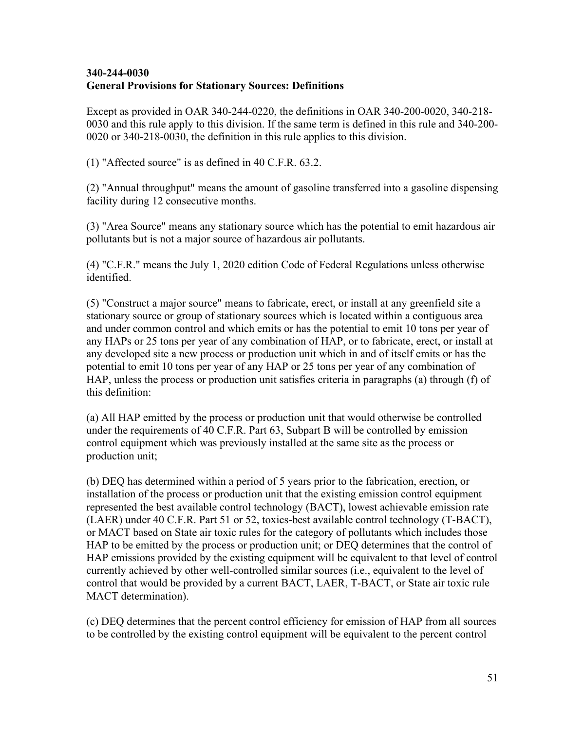#### **[340-244-0030](https://secure.sos.state.or.us/oard/viewSingleRule.action?ruleVrsnRsn=276127) General Provisions for Stationary Sources: Definitions**

Except as provided in OAR 340-244-0220, the definitions in OAR 340-200-0020, 340-218- 0030 and this rule apply to this division. If the same term is defined in this rule and 340-200- 0020 or 340-218-0030, the definition in this rule applies to this division.

(1) "Affected source" is as defined in 40 C.F.R. 63.2.

(2) "Annual throughput" means the amount of gasoline transferred into a gasoline dispensing facility during 12 consecutive months.

(3) "Area Source" means any stationary source which has the potential to emit hazardous air pollutants but is not a major source of hazardous air pollutants.

(4) "C.F.R." means the July 1, 2020 edition Code of Federal Regulations unless otherwise identified.

(5) "Construct a major source" means to fabricate, erect, or install at any greenfield site a stationary source or group of stationary sources which is located within a contiguous area and under common control and which emits or has the potential to emit 10 tons per year of any HAPs or 25 tons per year of any combination of HAP, or to fabricate, erect, or install at any developed site a new process or production unit which in and of itself emits or has the potential to emit 10 tons per year of any HAP or 25 tons per year of any combination of HAP, unless the process or production unit satisfies criteria in paragraphs (a) through (f) of this definition:

(a) All HAP emitted by the process or production unit that would otherwise be controlled under the requirements of 40 C.F.R. Part 63, Subpart B will be controlled by emission control equipment which was previously installed at the same site as the process or production unit;

(b) DEQ has determined within a period of 5 years prior to the fabrication, erection, or installation of the process or production unit that the existing emission control equipment represented the best available control technology (BACT), lowest achievable emission rate (LAER) under 40 C.F.R. Part 51 or 52, toxics-best available control technology (T-BACT), or MACT based on State air toxic rules for the category of pollutants which includes those HAP to be emitted by the process or production unit; or DEQ determines that the control of HAP emissions provided by the existing equipment will be equivalent to that level of control currently achieved by other well-controlled similar sources (i.e., equivalent to the level of control that would be provided by a current BACT, LAER, T-BACT, or State air toxic rule MACT determination).

(c) DEQ determines that the percent control efficiency for emission of HAP from all sources to be controlled by the existing control equipment will be equivalent to the percent control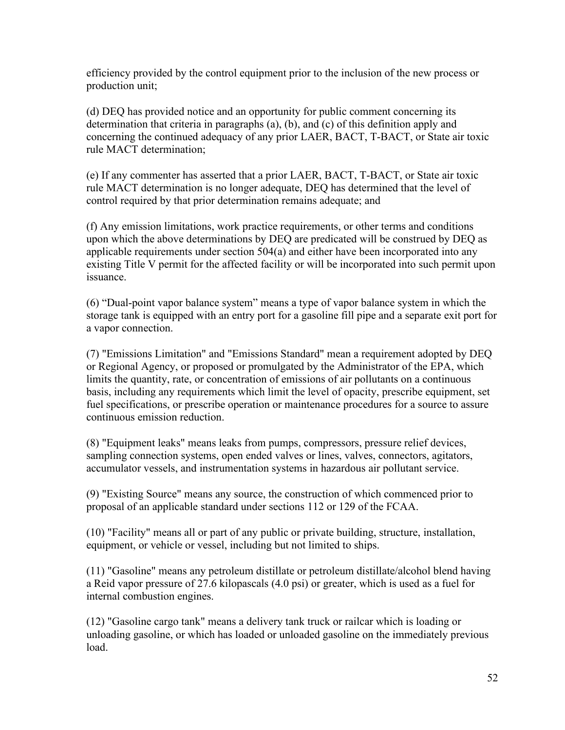efficiency provided by the control equipment prior to the inclusion of the new process or production unit;

(d) DEQ has provided notice and an opportunity for public comment concerning its determination that criteria in paragraphs (a), (b), and (c) of this definition apply and concerning the continued adequacy of any prior LAER, BACT, T-BACT, or State air toxic rule MACT determination;

(e) If any commenter has asserted that a prior LAER, BACT, T-BACT, or State air toxic rule MACT determination is no longer adequate, DEQ has determined that the level of control required by that prior determination remains adequate; and

(f) Any emission limitations, work practice requirements, or other terms and conditions upon which the above determinations by DEQ are predicated will be construed by DEQ as applicable requirements under section 504(a) and either have been incorporated into any existing Title V permit for the affected facility or will be incorporated into such permit upon issuance.

(6) "Dual-point vapor balance system" means a type of vapor balance system in which the storage tank is equipped with an entry port for a gasoline fill pipe and a separate exit port for a vapor connection.

(7) "Emissions Limitation" and "Emissions Standard" mean a requirement adopted by DEQ or Regional Agency, or proposed or promulgated by the Administrator of the EPA, which limits the quantity, rate, or concentration of emissions of air pollutants on a continuous basis, including any requirements which limit the level of opacity, prescribe equipment, set fuel specifications, or prescribe operation or maintenance procedures for a source to assure continuous emission reduction.

(8) "Equipment leaks" means leaks from pumps, compressors, pressure relief devices, sampling connection systems, open ended valves or lines, valves, connectors, agitators, accumulator vessels, and instrumentation systems in hazardous air pollutant service.

(9) "Existing Source" means any source, the construction of which commenced prior to proposal of an applicable standard under sections 112 or 129 of the FCAA.

(10) "Facility" means all or part of any public or private building, structure, installation, equipment, or vehicle or vessel, including but not limited to ships.

(11) "Gasoline" means any petroleum distillate or petroleum distillate/alcohol blend having a Reid vapor pressure of 27.6 kilopascals (4.0 psi) or greater, which is used as a fuel for internal combustion engines.

(12) "Gasoline cargo tank" means a delivery tank truck or railcar which is loading or unloading gasoline, or which has loaded or unloaded gasoline on the immediately previous load.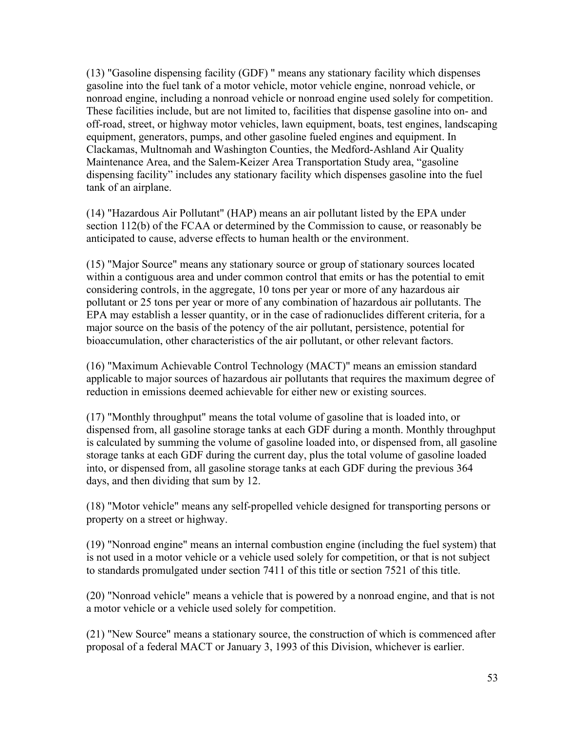(13) "Gasoline dispensing facility (GDF) " means any stationary facility which dispenses gasoline into the fuel tank of a motor vehicle, motor vehicle engine, nonroad vehicle, or nonroad engine, including a nonroad vehicle or nonroad engine used solely for competition. These facilities include, but are not limited to, facilities that dispense gasoline into on- and off-road, street, or highway motor vehicles, lawn equipment, boats, test engines, landscaping equipment, generators, pumps, and other gasoline fueled engines and equipment. In Clackamas, Multnomah and Washington Counties, the Medford-Ashland Air Quality Maintenance Area, and the Salem-Keizer Area Transportation Study area, "gasoline dispensing facility" includes any stationary facility which dispenses gasoline into the fuel tank of an airplane.

(14) "Hazardous Air Pollutant" (HAP) means an air pollutant listed by the EPA under section 112(b) of the FCAA or determined by the Commission to cause, or reasonably be anticipated to cause, adverse effects to human health or the environment.

(15) "Major Source" means any stationary source or group of stationary sources located within a contiguous area and under common control that emits or has the potential to emit considering controls, in the aggregate, 10 tons per year or more of any hazardous air pollutant or 25 tons per year or more of any combination of hazardous air pollutants. The EPA may establish a lesser quantity, or in the case of radionuclides different criteria, for a major source on the basis of the potency of the air pollutant, persistence, potential for bioaccumulation, other characteristics of the air pollutant, or other relevant factors.

(16) "Maximum Achievable Control Technology (MACT)" means an emission standard applicable to major sources of hazardous air pollutants that requires the maximum degree of reduction in emissions deemed achievable for either new or existing sources.

(17) "Monthly throughput" means the total volume of gasoline that is loaded into, or dispensed from, all gasoline storage tanks at each GDF during a month. Monthly throughput is calculated by summing the volume of gasoline loaded into, or dispensed from, all gasoline storage tanks at each GDF during the current day, plus the total volume of gasoline loaded into, or dispensed from, all gasoline storage tanks at each GDF during the previous 364 days, and then dividing that sum by 12.

(18) "Motor vehicle" means any self-propelled vehicle designed for transporting persons or property on a street or highway.

(19) "Nonroad engine" means an internal combustion engine (including the fuel system) that is not used in a motor vehicle or a vehicle used solely for competition, or that is not subject to standards promulgated under section 7411 of this title or section 7521 of this title.

(20) "Nonroad vehicle" means a vehicle that is powered by a nonroad engine, and that is not a motor vehicle or a vehicle used solely for competition.

(21) "New Source" means a stationary source, the construction of which is commenced after proposal of a federal MACT or January 3, 1993 of this Division, whichever is earlier.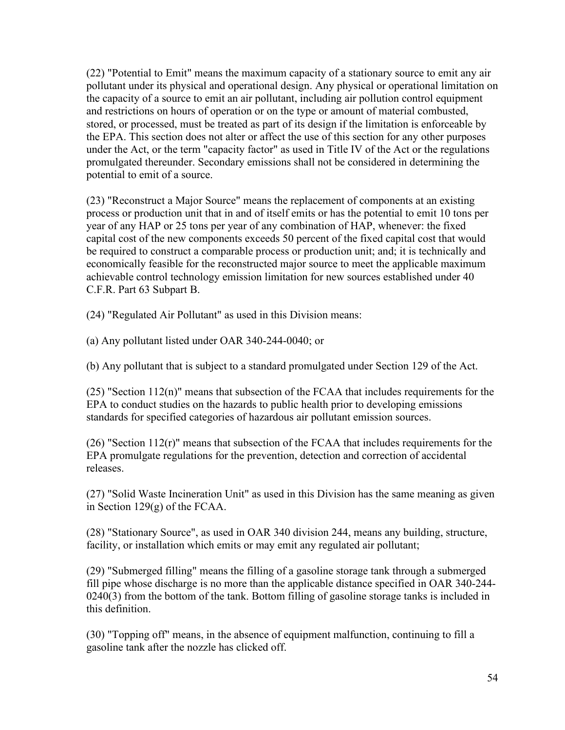(22) "Potential to Emit" means the maximum capacity of a stationary source to emit any air pollutant under its physical and operational design. Any physical or operational limitation on the capacity of a source to emit an air pollutant, including air pollution control equipment and restrictions on hours of operation or on the type or amount of material combusted, stored, or processed, must be treated as part of its design if the limitation is enforceable by the EPA. This section does not alter or affect the use of this section for any other purposes under the Act, or the term "capacity factor" as used in Title IV of the Act or the regulations promulgated thereunder. Secondary emissions shall not be considered in determining the potential to emit of a source.

(23) "Reconstruct a Major Source" means the replacement of components at an existing process or production unit that in and of itself emits or has the potential to emit 10 tons per year of any HAP or 25 tons per year of any combination of HAP, whenever: the fixed capital cost of the new components exceeds 50 percent of the fixed capital cost that would be required to construct a comparable process or production unit; and; it is technically and economically feasible for the reconstructed major source to meet the applicable maximum achievable control technology emission limitation for new sources established under 40 C.F.R. Part 63 Subpart B.

(24) "Regulated Air Pollutant" as used in this Division means:

(a) Any pollutant listed under OAR 340-244-0040; or

(b) Any pollutant that is subject to a standard promulgated under Section 129 of the Act.

(25) "Section 112(n)" means that subsection of the FCAA that includes requirements for the EPA to conduct studies on the hazards to public health prior to developing emissions standards for specified categories of hazardous air pollutant emission sources.

 $(26)$  "Section 112(r)" means that subsection of the FCAA that includes requirements for the EPA promulgate regulations for the prevention, detection and correction of accidental releases.

(27) "Solid Waste Incineration Unit" as used in this Division has the same meaning as given in Section 129(g) of the FCAA.

(28) "Stationary Source", as used in OAR 340 division 244, means any building, structure, facility, or installation which emits or may emit any regulated air pollutant;

(29) "Submerged filling" means the filling of a gasoline storage tank through a submerged fill pipe whose discharge is no more than the applicable distance specified in OAR 340-244- 0240(3) from the bottom of the tank. Bottom filling of gasoline storage tanks is included in this definition.

(30) "Topping off" means, in the absence of equipment malfunction, continuing to fill a gasoline tank after the nozzle has clicked off.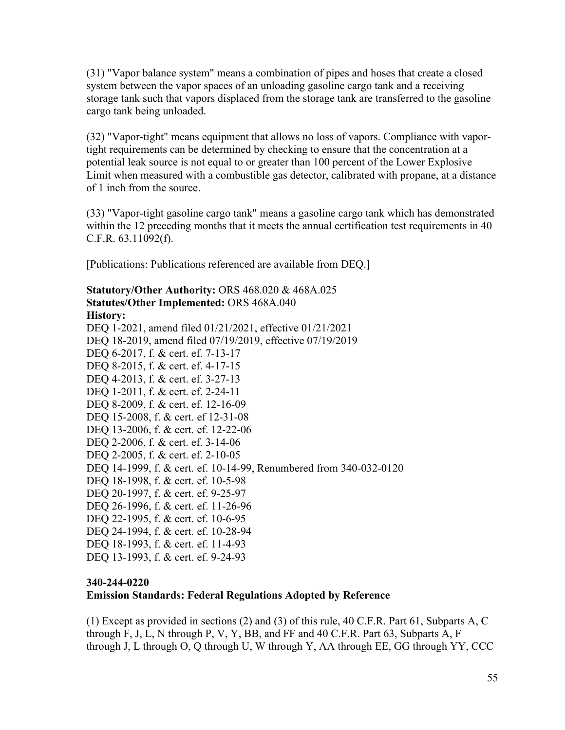(31) "Vapor balance system" means a combination of pipes and hoses that create a closed system between the vapor spaces of an unloading gasoline cargo tank and a receiving storage tank such that vapors displaced from the storage tank are transferred to the gasoline cargo tank being unloaded.

(32) "Vapor-tight" means equipment that allows no loss of vapors. Compliance with vaportight requirements can be determined by checking to ensure that the concentration at a potential leak source is not equal to or greater than 100 percent of the Lower Explosive Limit when measured with a combustible gas detector, calibrated with propane, at a distance of 1 inch from the source.

(33) "Vapor-tight gasoline cargo tank" means a gasoline cargo tank which has demonstrated within the 12 preceding months that it meets the annual certification test requirements in 40 C.F.R. 63.11092(f).

[Publications: Publications referenced are available from DEQ.]

#### **Statutory/Other Authority:** ORS 468.020 & 468A.025 **Statutes/Other Implemented:** ORS 468A.040 **History:**

[DEQ 1-2021, amend filed 01/21/2021, effective 01/21/2021](https://secure.sos.state.or.us/oard/viewReceiptTRIM.action?ptId=8022221) [DEQ 18-2019, amend filed 07/19/2019, effective 07/19/2019](https://secure.sos.state.or.us/oard/viewReceiptTRIM.action?ptId=6847093) DEQ 6-2017, f. & cert. ef. 7-13-17 DEQ 8-2015, f. & cert. ef. 4-17-15 DEQ 4-2013, f. & cert. ef. 3-27-13 DEQ 1-2011, f. & cert. ef. 2-24-11 DEQ 8-2009, f. & cert. ef. 12-16-09 DEQ 15-2008, f. & cert. ef 12-31-08 DEQ 13-2006, f. & cert. ef. 12-22-06 DEQ 2-2006, f. & cert. ef. 3-14-06 DEQ 2-2005, f. & cert. ef. 2-10-05 DEQ 14-1999, f. & cert. ef. 10-14-99, Renumbered from 340-032-0120 DEQ 18-1998, f. & cert. ef. 10-5-98 DEQ 20-1997, f. & cert. ef. 9-25-97 DEQ 26-1996, f. & cert. ef. 11-26-96 DEQ 22-1995, f. & cert. ef. 10-6-95 DEQ 24-1994, f. & cert. ef. 10-28-94 DEO 18-1993, f. & cert. ef. 11-4-93 DEQ 13-1993, f. & cert. ef. 9-24-93

#### **[340-244-0220](https://secure.sos.state.or.us/oard/viewSingleRule.action?ruleVrsnRsn=276128)**

#### **Emission Standards: Federal Regulations Adopted by Reference**

(1) Except as provided in sections (2) and (3) of this rule, 40 C.F.R. Part 61, Subparts A, C through F, J, L, N through P, V, Y, BB, and FF and 40 C.F.R. Part 63, Subparts A, F through J, L through O, Q through U, W through Y, AA through EE, GG through YY, CCC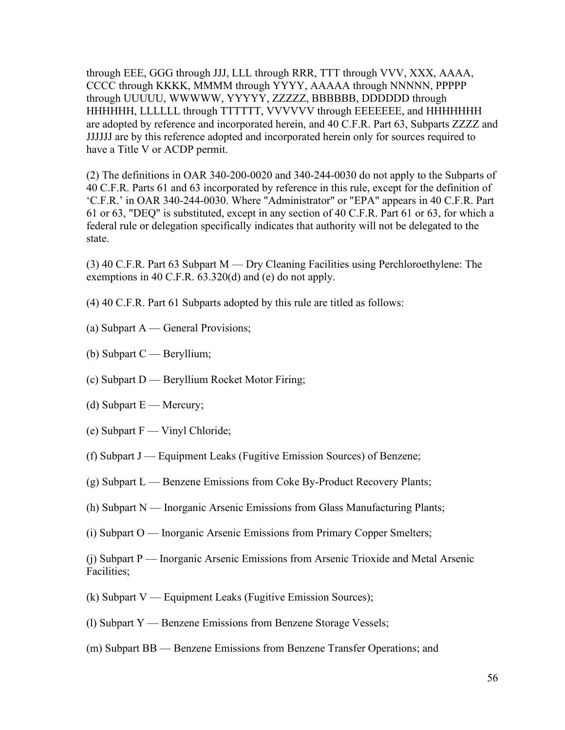through EEE, GGG through JJJ, LLL through RRR, TTT through VVV, XXX, AAAA, CCCC through KKKK, MMMM through YYYY, AAAAA through NNNNN, PPPPP through UUUUU, WWWWW, YYYYY, ZZZZZ, BBBBBB, DDDDDD through HHHHHH, LLLLLL through TTTTTT, VVVVVV through EEEEEEE, and HHHHHHH are adopted by reference and incorporated herein, and 40 C.F.R. Part 63, Subparts ZZZZ and JJJJJJ are by this reference adopted and incorporated herein only for sources required to have a Title V or ACDP permit.

(2) The definitions in OAR 340-200-0020 and 340-244-0030 do not apply to the Subparts of 40 C.F.R. Parts 61 and 63 incorporated by reference in this rule, except for the definition of 'C.F.R.' in OAR 340-244-0030. Where "Administrator" or "EPA" appears in 40 C.F.R. Part 61 or 63, "DEQ" is substituted, except in any section of 40 C.F.R. Part 61 or 63, for which a federal rule or delegation specifically indicates that authority will not be delegated to the state.

(3) 40 C.F.R. Part 63 Subpart M — Dry Cleaning Facilities using Perchloroethylene: The exemptions in 40 C.F.R. 63.320(d) and (e) do not apply.

(4) 40 C.F.R. Part 61 Subparts adopted by this rule are titled as follows:

- (a) Subpart A General Provisions;
- (b) Subpart C Beryllium;
- (c) Subpart D Beryllium Rocket Motor Firing;
- (d) Subpart  $E -$  Mercury;
- (e) Subpart F Vinyl Chloride;
- (f) Subpart J Equipment Leaks (Fugitive Emission Sources) of Benzene;
- (g) Subpart L Benzene Emissions from Coke By-Product Recovery Plants;
- (h) Subpart N Inorganic Arsenic Emissions from Glass Manufacturing Plants;
- (i) Subpart O Inorganic Arsenic Emissions from Primary Copper Smelters;

(j) Subpart P — Inorganic Arsenic Emissions from Arsenic Trioxide and Metal Arsenic Facilities;

- (k) Subpart V Equipment Leaks (Fugitive Emission Sources);
- (l) Subpart Y Benzene Emissions from Benzene Storage Vessels;
- (m) Subpart BB Benzene Emissions from Benzene Transfer Operations; and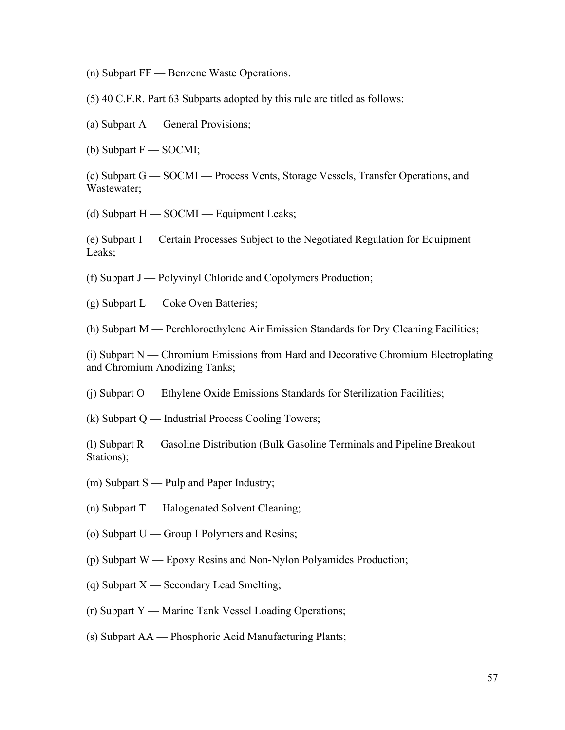(n) Subpart FF — Benzene Waste Operations.

(5) 40 C.F.R. Part 63 Subparts adopted by this rule are titled as follows:

(a) Subpart A — General Provisions;

(b) Subpart F — SOCMI;

(c) Subpart G — SOCMI — Process Vents, Storage Vessels, Transfer Operations, and Wastewater;

(d) Subpart H — SOCMI — Equipment Leaks;

(e) Subpart I — Certain Processes Subject to the Negotiated Regulation for Equipment Leaks;

(f) Subpart J — Polyvinyl Chloride and Copolymers Production;

(g) Subpart L — Coke Oven Batteries;

(h) Subpart M — Perchloroethylene Air Emission Standards for Dry Cleaning Facilities;

(i) Subpart N — Chromium Emissions from Hard and Decorative Chromium Electroplating and Chromium Anodizing Tanks;

(j) Subpart O — Ethylene Oxide Emissions Standards for Sterilization Facilities;

 $(k)$  Subpart Q — Industrial Process Cooling Towers;

(l) Subpart R — Gasoline Distribution (Bulk Gasoline Terminals and Pipeline Breakout Stations);

(m) Subpart S — Pulp and Paper Industry;

(n) Subpart T — Halogenated Solvent Cleaning;

(o) Subpart U — Group I Polymers and Resins;

(p) Subpart W — Epoxy Resins and Non-Nylon Polyamides Production;

(q) Subpart X — Secondary Lead Smelting;

(r) Subpart Y — Marine Tank Vessel Loading Operations;

(s) Subpart AA — Phosphoric Acid Manufacturing Plants;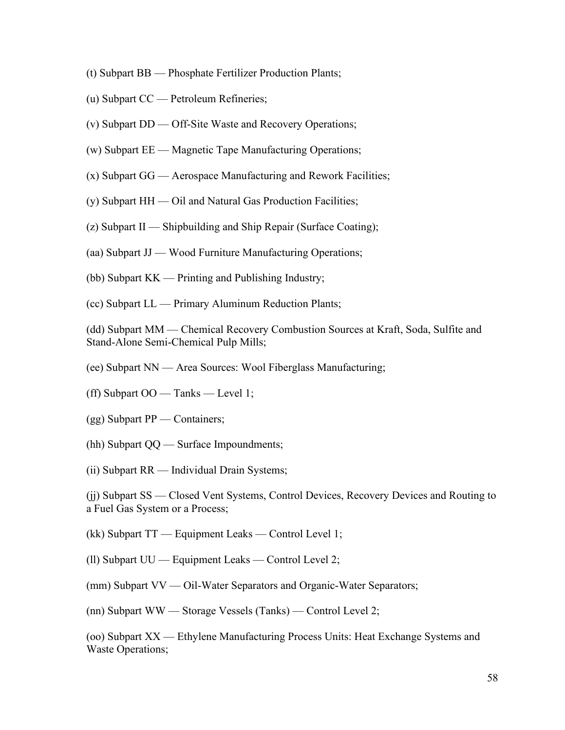- (t) Subpart BB Phosphate Fertilizer Production Plants;
- (u) Subpart CC Petroleum Refineries;
- (v) Subpart DD Off-Site Waste and Recovery Operations;
- (w) Subpart EE Magnetic Tape Manufacturing Operations;
- (x) Subpart GG Aerospace Manufacturing and Rework Facilities;
- (y) Subpart HH Oil and Natural Gas Production Facilities;
- (z) Subpart II Shipbuilding and Ship Repair (Surface Coating);
- (aa) Subpart JJ Wood Furniture Manufacturing Operations;
- (bb) Subpart KK Printing and Publishing Industry;
- (cc) Subpart LL Primary Aluminum Reduction Plants;

(dd) Subpart MM — Chemical Recovery Combustion Sources at Kraft, Soda, Sulfite and Stand-Alone Semi-Chemical Pulp Mills;

- (ee) Subpart NN Area Sources: Wool Fiberglass Manufacturing;
- (ff) Subpart OO Tanks Level 1;
- (gg) Subpart PP Containers;
- (hh) Subpart QQ Surface Impoundments;
- (ii) Subpart RR Individual Drain Systems;

(jj) Subpart SS — Closed Vent Systems, Control Devices, Recovery Devices and Routing to a Fuel Gas System or a Process;

(kk) Subpart TT — Equipment Leaks — Control Level 1;

(ll) Subpart UU — Equipment Leaks — Control Level 2;

(mm) Subpart VV — Oil-Water Separators and Organic-Water Separators;

(nn) Subpart WW — Storage Vessels (Tanks) — Control Level 2;

(oo) Subpart XX — Ethylene Manufacturing Process Units: Heat Exchange Systems and Waste Operations;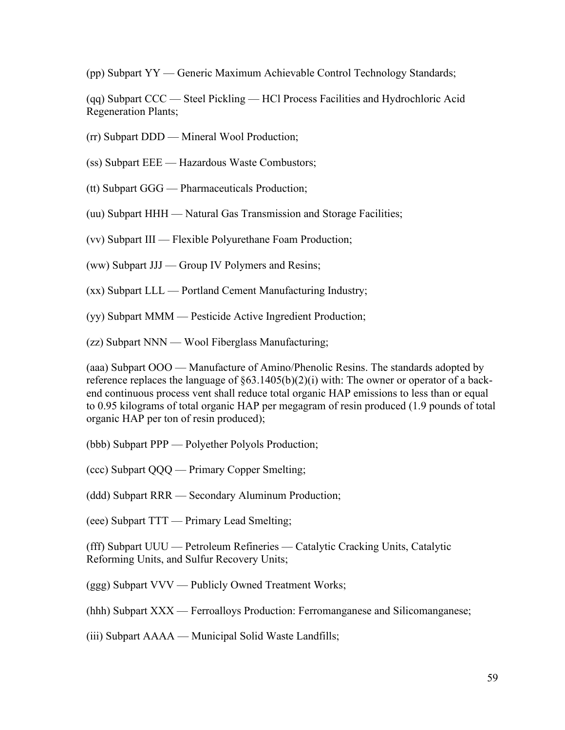(pp) Subpart YY — Generic Maximum Achievable Control Technology Standards;

(qq) Subpart CCC — Steel Pickling — HCl Process Facilities and Hydrochloric Acid Regeneration Plants;

- (rr) Subpart DDD Mineral Wool Production;
- (ss) Subpart EEE Hazardous Waste Combustors;
- (tt) Subpart GGG Pharmaceuticals Production;
- (uu) Subpart HHH Natural Gas Transmission and Storage Facilities;
- (vv) Subpart III Flexible Polyurethane Foam Production;
- (ww) Subpart JJJ Group IV Polymers and Resins;
- (xx) Subpart LLL Portland Cement Manufacturing Industry;
- (yy) Subpart MMM Pesticide Active Ingredient Production;
- (zz) Subpart NNN Wool Fiberglass Manufacturing;

(aaa) Subpart OOO — Manufacture of Amino/Phenolic Resins. The standards adopted by reference replaces the language of §63.1405(b)(2)(i) with: The owner or operator of a backend continuous process vent shall reduce total organic HAP emissions to less than or equal to 0.95 kilograms of total organic HAP per megagram of resin produced (1.9 pounds of total organic HAP per ton of resin produced);

- (bbb) Subpart PPP Polyether Polyols Production;
- (ccc) Subpart QQQ Primary Copper Smelting;
- (ddd) Subpart RRR Secondary Aluminum Production;
- (eee) Subpart TTT Primary Lead Smelting;

(fff) Subpart UUU — Petroleum Refineries — Catalytic Cracking Units, Catalytic Reforming Units, and Sulfur Recovery Units;

(ggg) Subpart VVV — Publicly Owned Treatment Works;

(hhh) Subpart XXX — Ferroalloys Production: Ferromanganese and Silicomanganese;

(iii) Subpart AAAA — Municipal Solid Waste Landfills;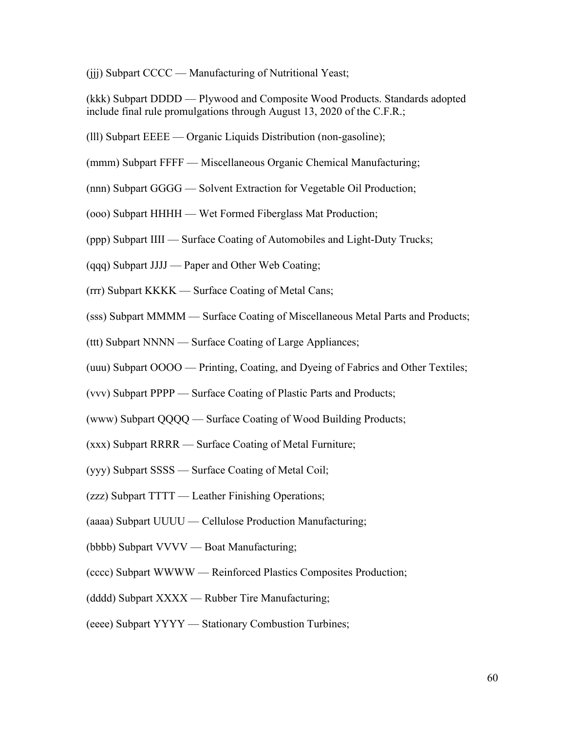(jjj) Subpart CCCC — Manufacturing of Nutritional Yeast;

(kkk) Subpart DDDD — Plywood and Composite Wood Products. Standards adopted include final rule promulgations through August 13, 2020 of the C.F.R.;

- (lll) Subpart EEEE Organic Liquids Distribution (non-gasoline);
- (mmm) Subpart FFFF Miscellaneous Organic Chemical Manufacturing;
- (nnn) Subpart GGGG Solvent Extraction for Vegetable Oil Production;
- (ooo) Subpart HHHH Wet Formed Fiberglass Mat Production;
- (ppp) Subpart IIII Surface Coating of Automobiles and Light-Duty Trucks;
- (qqq) Subpart JJJJ Paper and Other Web Coating;
- (rrr) Subpart KKKK Surface Coating of Metal Cans;
- (sss) Subpart MMMM Surface Coating of Miscellaneous Metal Parts and Products;
- (ttt) Subpart NNNN Surface Coating of Large Appliances;
- (uuu) Subpart OOOO Printing, Coating, and Dyeing of Fabrics and Other Textiles;
- (vvv) Subpart PPPP Surface Coating of Plastic Parts and Products;
- (www) Subpart QQQQ Surface Coating of Wood Building Products;
- (xxx) Subpart RRRR Surface Coating of Metal Furniture;
- (yyy) Subpart SSSS Surface Coating of Metal Coil;
- (zzz) Subpart TTTT Leather Finishing Operations;
- (aaaa) Subpart UUUU Cellulose Production Manufacturing;
- (bbbb) Subpart VVVV Boat Manufacturing;
- (cccc) Subpart WWWW Reinforced Plastics Composites Production;
- (dddd) Subpart XXXX Rubber Tire Manufacturing;
- (eeee) Subpart YYYY Stationary Combustion Turbines;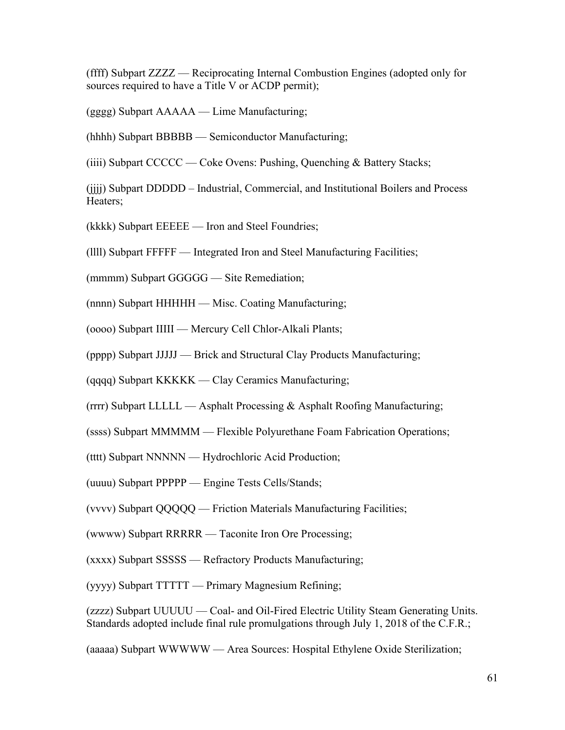(ffff) Subpart ZZZZ — Reciprocating Internal Combustion Engines (adopted only for sources required to have a Title V or ACDP permit);

(gggg) Subpart AAAAA — Lime Manufacturing;

(hhhh) Subpart BBBBB — Semiconductor Manufacturing;

(iiii) Subpart CCCCC — Coke Ovens: Pushing, Quenching & Battery Stacks;

(jjjj) Subpart DDDDD – Industrial, Commercial, and Institutional Boilers and Process Heaters;

(kkkk) Subpart EEEEE — Iron and Steel Foundries;

(llll) Subpart FFFFF — Integrated Iron and Steel Manufacturing Facilities;

(mmmm) Subpart GGGGG — Site Remediation;

(nnnn) Subpart HHHHH — Misc. Coating Manufacturing;

(oooo) Subpart IIIII — Mercury Cell Chlor-Alkali Plants;

(pppp) Subpart JJJJJ — Brick and Structural Clay Products Manufacturing;

(qqqq) Subpart KKKKK — Clay Ceramics Manufacturing;

 $(rrrr)$  Subpart LLLLL — Asphalt Processing & Asphalt Roofing Manufacturing;

(ssss) Subpart MMMMM — Flexible Polyurethane Foam Fabrication Operations;

(tttt) Subpart NNNNN — Hydrochloric Acid Production;

(uuuu) Subpart PPPPP — Engine Tests Cells/Stands;

(vvvv) Subpart QQQQQ — Friction Materials Manufacturing Facilities;

(wwww) Subpart RRRRR — Taconite Iron Ore Processing;

(xxxx) Subpart SSSSS — Refractory Products Manufacturing;

(yyyy) Subpart TTTTT — Primary Magnesium Refining;

(zzzz) Subpart UUUUU — Coal- and Oil-Fired Electric Utility Steam Generating Units. Standards adopted include final rule promulgations through July 1, 2018 of the C.F.R.;

(aaaaa) Subpart WWWWW — Area Sources: Hospital Ethylene Oxide Sterilization;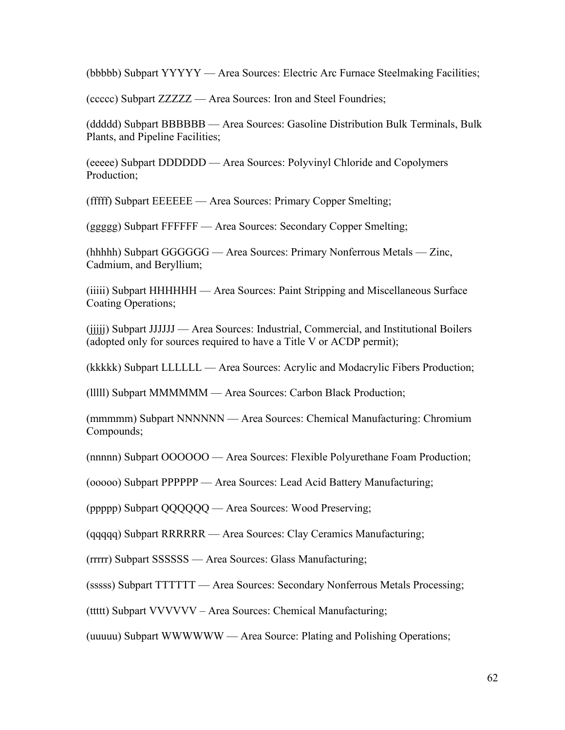(bbbbb) Subpart YYYYY — Area Sources: Electric Arc Furnace Steelmaking Facilities;

(ccccc) Subpart ZZZZZ — Area Sources: Iron and Steel Foundries;

(ddddd) Subpart BBBBBB — Area Sources: Gasoline Distribution Bulk Terminals, Bulk Plants, and Pipeline Facilities;

(eeeee) Subpart DDDDDD — Area Sources: Polyvinyl Chloride and Copolymers Production;

(fffff) Subpart EEEEEE — Area Sources: Primary Copper Smelting;

(ggggg) Subpart FFFFFF — Area Sources: Secondary Copper Smelting;

(hhhhh) Subpart GGGGGG — Area Sources: Primary Nonferrous Metals — Zinc, Cadmium, and Beryllium;

(iiiii) Subpart HHHHHH — Area Sources: Paint Stripping and Miscellaneous Surface Coating Operations;

(jjjjj) Subpart JJJJJJ — Area Sources: Industrial, Commercial, and Institutional Boilers (adopted only for sources required to have a Title V or ACDP permit);

(kkkkk) Subpart LLLLLL — Area Sources: Acrylic and Modacrylic Fibers Production;

(lllll) Subpart MMMMMM — Area Sources: Carbon Black Production;

(mmmmm) Subpart NNNNNN — Area Sources: Chemical Manufacturing: Chromium Compounds;

(nnnnn) Subpart OOOOOO — Area Sources: Flexible Polyurethane Foam Production;

(ooooo) Subpart PPPPPP — Area Sources: Lead Acid Battery Manufacturing;

(ppppp) Subpart QQQQQQ — Area Sources: Wood Preserving;

(qqqqq) Subpart RRRRRR — Area Sources: Clay Ceramics Manufacturing;

(rrrrr) Subpart SSSSSS — Area Sources: Glass Manufacturing;

(sssss) Subpart TTTTTT — Area Sources: Secondary Nonferrous Metals Processing;

(ttttt) Subpart VVVVVV – Area Sources: Chemical Manufacturing;

(uuuuu) Subpart WWWWWW — Area Source: Plating and Polishing Operations;